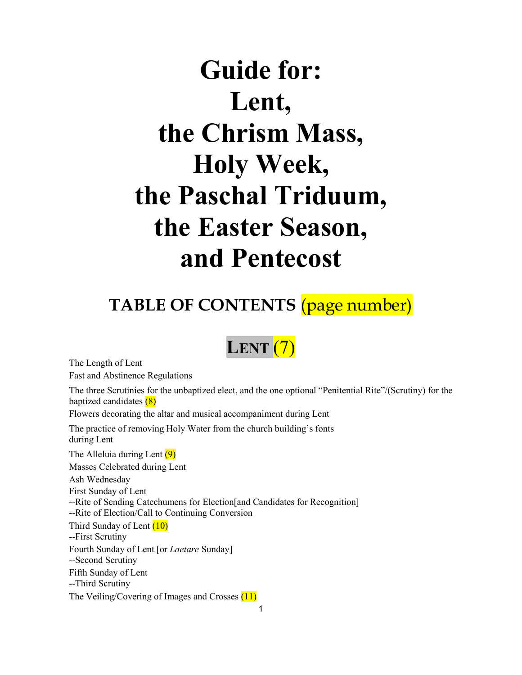# **Guide for: Lent, the Chrism Mass, Holy Week, the Paschal Triduum, the Easter Season, and Pentecost**

## **TABLE OF CONTENTS** (page number)

## **LENT** (7)

The Length of Lent

Fast and Abstinence Regulations

The three Scrutinies for the unbaptized elect, and the one optional "Penitential Rite"/(Scrutiny) for the baptized candidates (8)

Flowers decorating the altar and musical accompaniment during Lent

The practice of removing Holy Water from the church building's fonts during Lent

The Alleluia during Lent (9) Masses Celebrated during Lent Ash Wednesday

First Sunday of Lent

--Rite of Sending Catechumens for Election[and Candidates for Recognition]

--Rite of Election/Call to Continuing Conversion

Third Sunday of Lent (10)

--First Scrutiny

Fourth Sunday of Lent [or *Laetare* Sunday] --Second Scrutiny Fifth Sunday of Lent

--Third Scrutiny

The Veiling/Covering of Images and Crosses (11)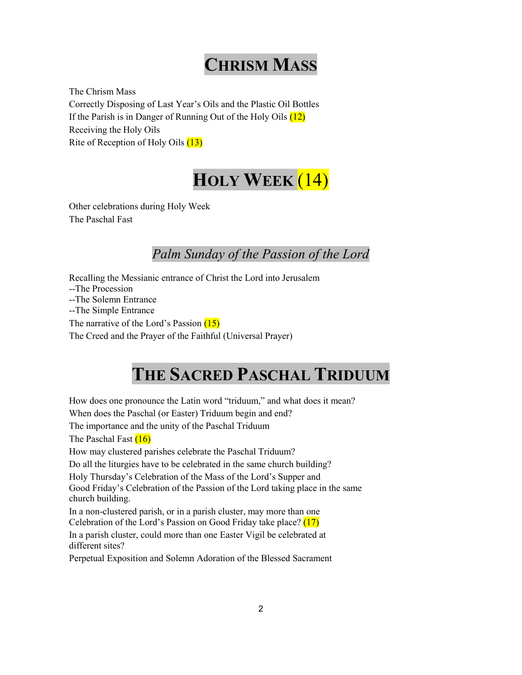## **CHRISM MASS**

The Chrism Mass Correctly Disposing of Last Year's Oils and the Plastic Oil Bottles If the Parish is in Danger of Running Out of the Holy Oils  $(12)$ Receiving the Holy Oils Rite of Reception of Holy Oils (13)

## **HOLY WEEK** (14)

Other celebrations during Holy Week The Paschal Fast

## *Palm Sunday of the Passion of the Lord*

Recalling the Messianic entrance of Christ the Lord into Jerusalem --The Procession --The Solemn Entrance --The Simple Entrance The narrative of the Lord's Passion (15) The Creed and the Prayer of the Faithful (Universal Prayer)

## **THE SACRED PASCHAL TRIDUUM**

How does one pronounce the Latin word "triduum," and what does it mean? When does the Paschal (or Easter) Triduum begin and end?

The importance and the unity of the Paschal Triduum

The Paschal Fast (16)

How may clustered parishes celebrate the Paschal Triduum?

Do all the liturgies have to be celebrated in the same church building?

Holy Thursday's Celebration of the Mass of the Lord's Supper and Good Friday's Celebration of the Passion of the Lord taking place in the same church building.

In a non-clustered parish, or in a parish cluster, may more than one Celebration of the Lord's Passion on Good Friday take place? (17)

In a parish cluster, could more than one Easter Vigil be celebrated at different sites?

Perpetual Exposition and Solemn Adoration of the Blessed Sacrament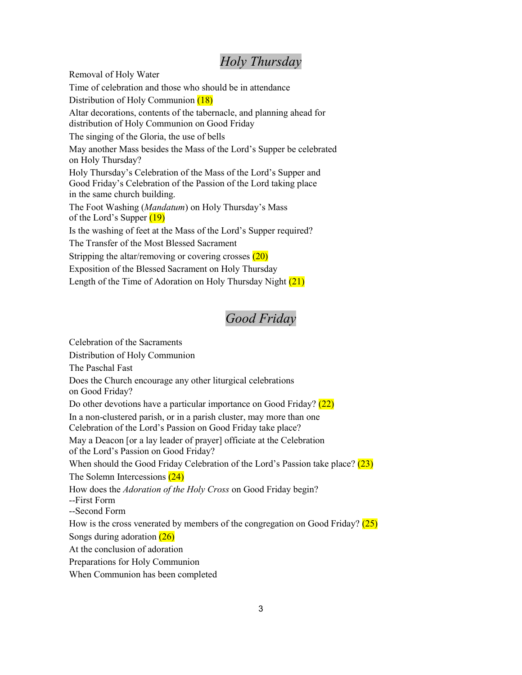### *Holy Thursday*

Removal of Holy Water

Time of celebration and those who should be in attendance

Distribution of Holy Communion (18)

Altar decorations, contents of the tabernacle, and planning ahead for distribution of Holy Communion on Good Friday

The singing of the Gloria, the use of bells

May another Mass besides the Mass of the Lord's Supper be celebrated on Holy Thursday?

Holy Thursday's Celebration of the Mass of the Lord's Supper and Good Friday's Celebration of the Passion of the Lord taking place in the same church building.

The Foot Washing (*Mandatum*) on Holy Thursday's Mass of the Lord's Supper  $(19)$ 

Is the washing of feet at the Mass of the Lord's Supper required?

The Transfer of the Most Blessed Sacrament

Stripping the altar/removing or covering crosses (20)

Exposition of the Blessed Sacrament on Holy Thursday

Length of the Time of Adoration on Holy Thursday Night (21)

### *Good Friday*

Celebration of the Sacraments

Distribution of Holy Communion

The Paschal Fast

Does the Church encourage any other liturgical celebrations

on Good Friday?

Do other devotions have a particular importance on Good Friday? (22)

In a non-clustered parish, or in a parish cluster, may more than one

Celebration of the Lord's Passion on Good Friday take place?

May a Deacon [or a lay leader of prayer] officiate at the Celebration of the Lord's Passion on Good Friday?

When should the Good Friday Celebration of the Lord's Passion take place?  $(23)$ The Solemn Intercessions (24)

How does the *Adoration of the Holy Cross* on Good Friday begin?

--First Form

--Second Form

How is the cross venerated by members of the congregation on Good Friday?  $(25)$ Songs during adoration (26)

At the conclusion of adoration

Preparations for Holy Communion

When Communion has been completed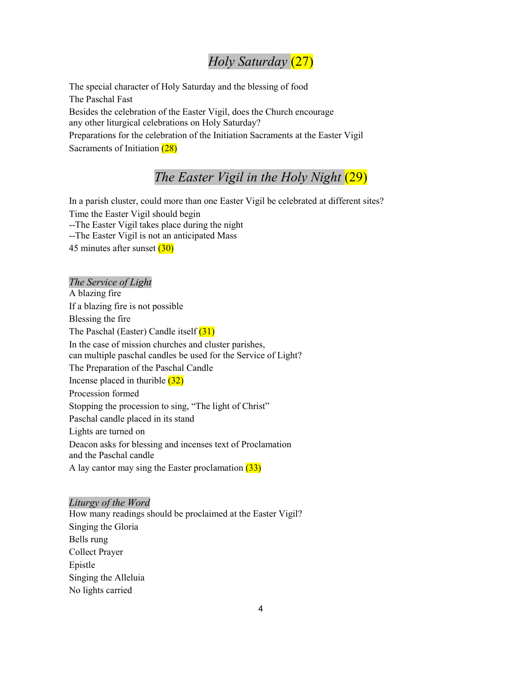### *Holy Saturday* (27)

The special character of Holy Saturday and the blessing of food The Paschal Fast Besides the celebration of the Easter Vigil, does the Church encourage any other liturgical celebrations on Holy Saturday? Preparations for the celebration of the Initiation Sacraments at the Easter Vigil Sacraments of Initiation (28)

### *The Easter Vigil in the Holy Night* (29)

In a parish cluster, could more than one Easter Vigil be celebrated at different sites? Time the Easter Vigil should begin --The Easter Vigil takes place during the night --The Easter Vigil is not an anticipated Mass 45 minutes after sunset (30)

*The Service of Light* A blazing fire If a blazing fire is not possible Blessing the fire The Paschal (Easter) Candle itself (31) In the case of mission churches and cluster parishes, can multiple paschal candles be used for the Service of Light? The Preparation of the Paschal Candle Incense placed in thurible  $(32)$ Procession formed Stopping the procession to sing, "The light of Christ" Paschal candle placed in its stand Lights are turned on Deacon asks for blessing and incenses text of Proclamation and the Paschal candle A lay cantor may sing the Easter proclamation  $(33)$ 

#### *Liturgy of the Word*

How many readings should be proclaimed at the Easter Vigil? Singing the Gloria Bells rung Collect Prayer Epistle Singing the Alleluia No lights carried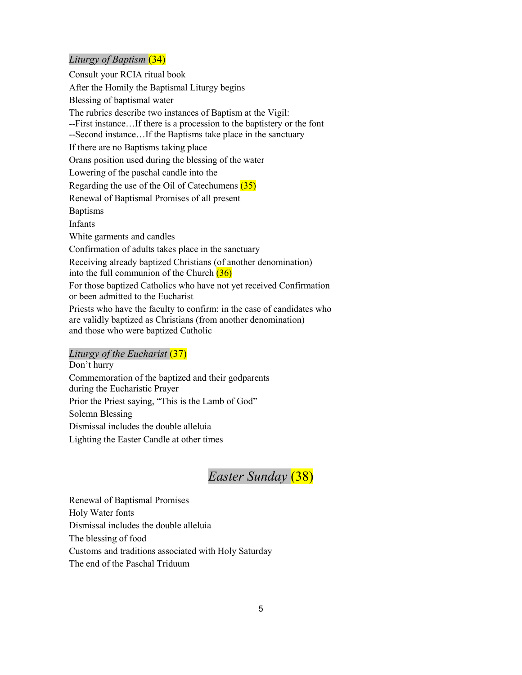#### *Liturgy of Baptism* (34)

Consult your RCIA ritual book After the Homily the Baptismal Liturgy begins Blessing of baptismal water The rubrics describe two instances of Baptism at the Vigil: --First instance…If there is a procession to the baptistery or the font --Second instance…If the Baptisms take place in the sanctuary If there are no Baptisms taking place Orans position used during the blessing of the water Lowering of the paschal candle into the Regarding the use of the Oil of Catechumens (35) Renewal of Baptismal Promises of all present Baptisms Infants White garments and candles Confirmation of adults takes place in the sanctuary Receiving already baptized Christians (of another denomination) into the full communion of the Church  $(36)$ For those baptized Catholics who have not yet received Confirmation or been admitted to the Eucharist Priests who have the faculty to confirm: in the case of candidates who

are validly baptized as Christians (from another denomination) and those who were baptized Catholic

#### *Liturgy of the Eucharist* (37)

Don't hurry Commemoration of the baptized and their godparents during the Eucharistic Prayer Prior the Priest saying, "This is the Lamb of God" Solemn Blessing Dismissal includes the double alleluia Lighting the Easter Candle at other times

## *Easter Sunday* (38)

Renewal of Baptismal Promises Holy Water fonts Dismissal includes the double alleluia The blessing of food Customs and traditions associated with Holy Saturday The end of the Paschal Triduum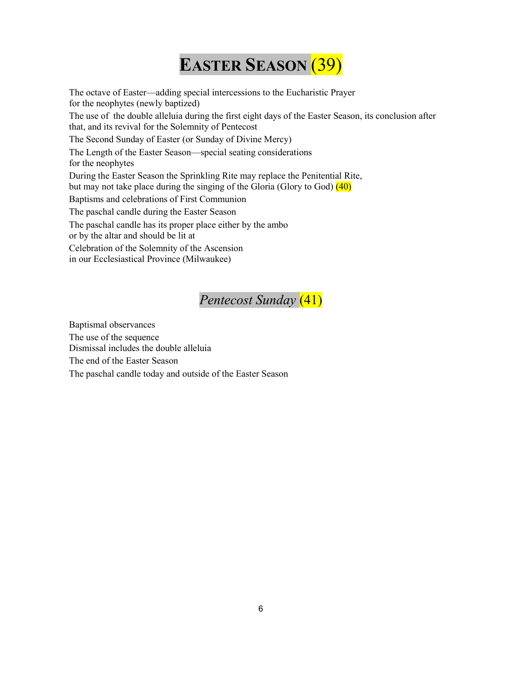## **EASTER SEASON** (39)

The octave of Easter—adding special intercessions to the Eucharistic Prayer for the neophytes (newly baptized) The use of the double alleluia during the first eight days of the Easter Season, its conclusion after that, and its revival for the Solemnity of Pentecost The Second Sunday of Easter (or Sunday of Divine Mercy) The Length of the Easter Season—special seating considerations for the neophytes During the Easter Season the Sprinkling Rite may replace the Penitential Rite, but may not take place during the singing of the Gloria (Glory to God) (40) Baptisms and celebrations of First Communion The paschal candle during the Easter Season The paschal candle has its proper place either by the ambo or by the altar and should be lit at Celebration of the Solemnity of the Ascension in our Ecclesiastical Province (Milwaukee)

## *Pentecost Sunday* (41)

Baptismal observances The use of the sequence Dismissal includes the double alleluia The end of the Easter Season The paschal candle today and outside of the Easter Season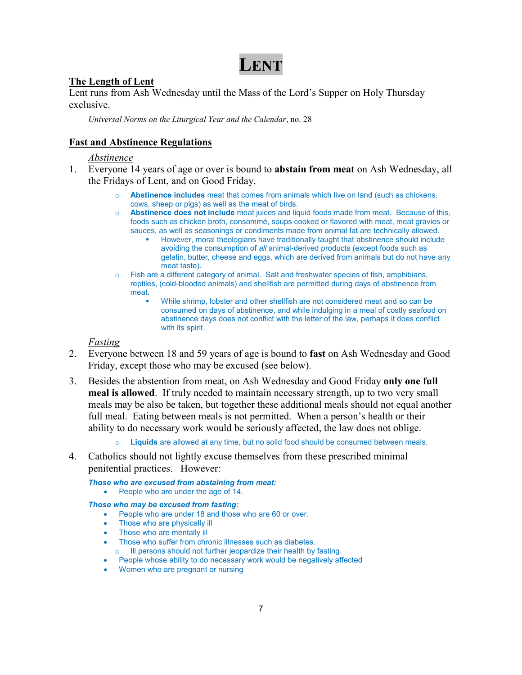## **LENT**

#### **The Length of Lent**

Lent runs from Ash Wednesday until the Mass of the Lord's Supper on Holy Thursday exclusive.

*Universal Norms on the Liturgical Year and the Calendar*, no. 28

#### **Fast and Abstinence Regulations**

#### *Abstinence*

- 1. Everyone 14 years of age or over is bound to **abstain from meat** on Ash Wednesday, all the Fridays of Lent, and on Good Friday.
	- o **Abstinence includes** meat that comes from animals which live on land (such as chickens, cows, sheep or pigs) as well as the meat of birds.
	- o **Abstinence does not include** meat juices and liquid foods made from meat. Because of this, foods such as chicken broth, consommé, soups cooked or flavored with meat, meat gravies or sauces, as well as seasonings or condiments made from animal fat are technically allowed.
		- However, moral theologians have traditionally taught that abstinence should include avoiding the consumption of *all* animal-derived products (except foods such as gelatin, butter, cheese and eggs, which are derived from animals but do not have any meat taste).
	- $\circ$  Fish are a different category of animal. Salt and freshwater species of fish, amphibians, reptiles, (cold-blooded animals) and shellfish are permitted during days of abstinence from meat.
		- While shrimp, lobster and other shellfish are not considered meat and so can be consumed on days of abstinence, and while indulging in a meal of costly seafood on abstinence days does not conflict with the letter of the law, perhaps it does conflict with its spirit.

#### *Fasting*

- 2. Everyone between 18 and 59 years of age is bound to **fast** on Ash Wednesday and Good Friday, except those who may be excused (see below).
- 3. Besides the abstention from meat, on Ash Wednesday and Good Friday **only one full meal is allowed**. If truly needed to maintain necessary strength, up to two very small meals may be also be taken, but together these additional meals should not equal another full meal. Eating between meals is not permitted. When a person's health or their ability to do necessary work would be seriously affected, the law does not oblige.
	- o **Liquids** are allowed at any time, but no solid food should be consumed between meals.
- 4. Catholics should not lightly excuse themselves from these prescribed minimal penitential practices. However:

*Those who are excused from abstaining from meat:* 

People who are under the age of 14.

#### *Those who may be excused from fasting:*

- People who are under 18 and those who are 60 or over.
- Those who are physically ill
- Those who are mentally ill
- Those who suffer from chronic illnesses such as diabetes.
- o Ill persons should not further jeopardize their health by fasting.
- People whose ability to do necessary work would be negatively affected
- Women who are pregnant or nursing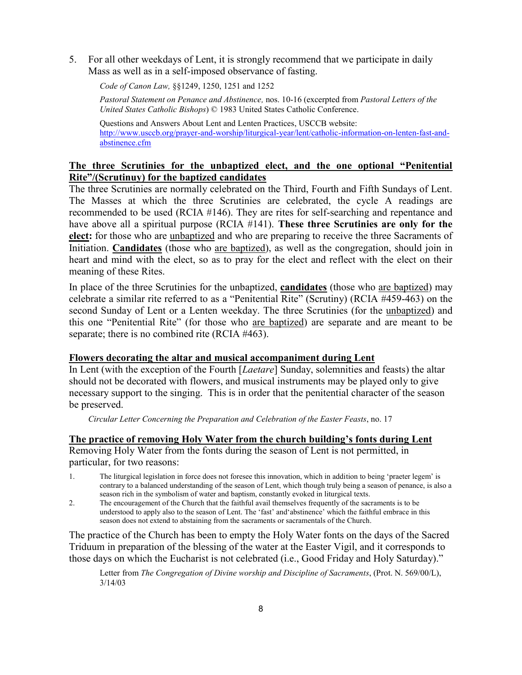5. For all other weekdays of Lent, it is strongly recommend that we participate in daily Mass as well as in a self-imposed observance of fasting.

*Code of Canon Law,* §§1249, 1250, 1251 and 1252

*Pastoral Statement on Penance and Abstinence,* nos. 10-16 (excerpted from *Pastoral Letters of the United States Catholic Bishops*) © 1983 United States Catholic Conference.

Questions and Answers About Lent and Lenten Practices, USCCB website: [http://www.usccb.org/prayer-and-worship/liturgical-year/lent/catholic-information-on-lenten-fast-and](http://www.usccb.org/prayer-and-worship/liturgical-year/lent/catholic-information-on-lenten-fast-and-abstinence.cfm)[abstinence.cfm](http://www.usccb.org/prayer-and-worship/liturgical-year/lent/catholic-information-on-lenten-fast-and-abstinence.cfm)

#### **The three Scrutinies for the unbaptized elect, and the one optional "Penitential Rite"/(Scrutinuy) for the baptized candidates**

The three Scrutinies are normally celebrated on the Third, Fourth and Fifth Sundays of Lent. The Masses at which the three Scrutinies are celebrated, the cycle A readings are recommended to be used (RCIA #146). They are rites for self-searching and repentance and have above all a spiritual purpose (RCIA #141). **These three Scrutinies are only for the elect:** for those who are unbaptized and who are preparing to receive the three Sacraments of Initiation. **Candidates** (those who are baptized), as well as the congregation, should join in heart and mind with the elect, so as to pray for the elect and reflect with the elect on their meaning of these Rites.

In place of the three Scrutinies for the unbaptized, **candidates** (those who are baptized) may celebrate a similar rite referred to as a "Penitential Rite" (Scrutiny) (RCIA #459-463) on the second Sunday of Lent or a Lenten weekday. The three Scrutinies (for the unbaptized) and this one "Penitential Rite" (for those who are baptized) are separate and are meant to be separate; there is no combined rite (RCIA #463).

#### **Flowers decorating the altar and musical accompaniment during Lent**

In Lent (with the exception of the Fourth [*Laetare*] Sunday, solemnities and feasts) the altar should not be decorated with flowers, and musical instruments may be played only to give necessary support to the singing. This is in order that the penitential character of the season be preserved.

*Circular Letter Concerning the Preparation and Celebration of the Easter Feasts*, no. 17

#### **The practice of removing Holy Water from the church building's fonts during Lent**

Removing Holy Water from the fonts during the season of Lent is not permitted, in particular, for two reasons:

- 1. The liturgical legislation in force does not foresee this innovation, which in addition to being 'praeter legem' is contrary to a balanced understanding of the season of Lent, which though truly being a season of penance, is also a season rich in the symbolism of water and baptism, constantly evoked in liturgical texts.
- 2. The encouragement of the Church that the faithful avail themselves frequently of the sacraments is to be understood to apply also to the season of Lent. The 'fast' and'abstinence' which the faithful embrace in this season does not extend to abstaining from the sacraments or sacramentals of the Church.

The practice of the Church has been to empty the Holy Water fonts on the days of the Sacred Triduum in preparation of the blessing of the water at the Easter Vigil, and it corresponds to those days on which the Eucharist is not celebrated (i.e., Good Friday and Holy Saturday)."

Letter from *The Congregation of Divine worship and Discipline of Sacraments*, (Prot. N. 569/00/L), 3/14/03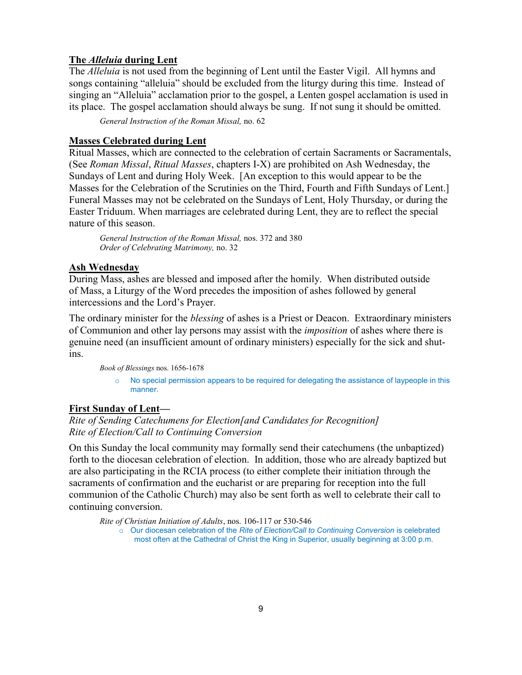#### **The** *Alleluia* **during Lent**

The *Alleluia* is not used from the beginning of Lent until the Easter Vigil. All hymns and songs containing "alleluia" should be excluded from the liturgy during this time. Instead of singing an "Alleluia" acclamation prior to the gospel, a Lenten gospel acclamation is used in its place. The gospel acclamation should always be sung. If not sung it should be omitted.

*General Instruction of the Roman Missal,* no. 62

#### **Masses Celebrated during Lent**

Ritual Masses, which are connected to the celebration of certain Sacraments or Sacramentals, (See *Roman Missal*, *Ritual Masses*, chapters I-X) are prohibited on Ash Wednesday, the Sundays of Lent and during Holy Week. [An exception to this would appear to be the Masses for the Celebration of the Scrutinies on the Third, Fourth and Fifth Sundays of Lent.] Funeral Masses may not be celebrated on the Sundays of Lent, Holy Thursday, or during the Easter Triduum. When marriages are celebrated during Lent, they are to reflect the special nature of this season.

*General Instruction of the Roman Missal,* nos. 372 and 380 *Order of Celebrating Matrimony,* no. 32

#### **Ash Wednesday**

During Mass, ashes are blessed and imposed after the homily. When distributed outside of Mass, a Liturgy of the Word precedes the imposition of ashes followed by general intercessions and the Lord's Prayer.

The ordinary minister for the *blessing* of ashes is a Priest or Deacon. Extraordinary ministers of Communion and other lay persons may assist with the *imposition* of ashes where there is genuine need (an insufficient amount of ordinary ministers) especially for the sick and shutins.

*Book of Blessings* nos. 1656-1678

 $\circ$  No special permission appears to be required for delegating the assistance of laypeople in this manner.

#### **First Sunday of Lent—**

*Rite of Sending Catechumens for Election[and Candidates for Recognition] Rite of Election/Call to Continuing Conversion*

On this Sunday the local community may formally send their catechumens (the unbaptized) forth to the diocesan celebration of election. In addition, those who are already baptized but are also participating in the RCIA process (to either complete their initiation through the sacraments of confirmation and the eucharist or are preparing for reception into the full communion of the Catholic Church) may also be sent forth as well to celebrate their call to continuing conversion.

*Rite of Christian Initiation of Adults*, nos. 106-117 or 530-546 o Our diocesan celebration of the *Rite of Election/Call to Continuing Conversion* is celebrated most often at the Cathedral of Christ the King in Superior, usually beginning at 3:00 p.m.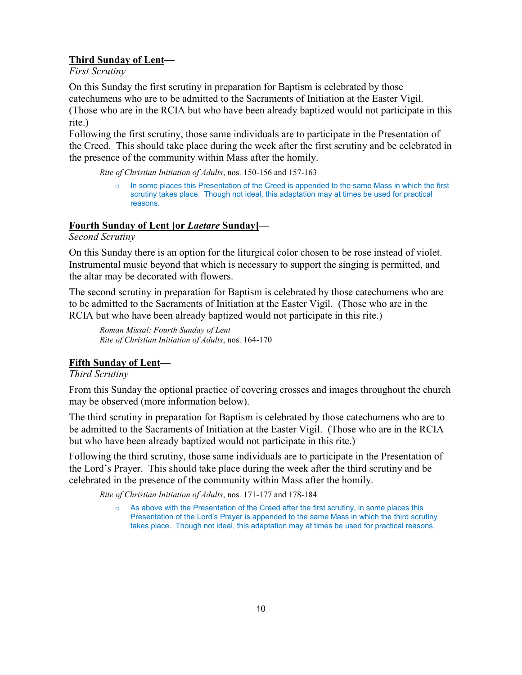#### **Third Sunday of Lent—**

*First Scrutiny*

On this Sunday the first scrutiny in preparation for Baptism is celebrated by those catechumens who are to be admitted to the Sacraments of Initiation at the Easter Vigil. (Those who are in the RCIA but who have been already baptized would not participate in this rite.)

Following the first scrutiny, those same individuals are to participate in the Presentation of the Creed. This should take place during the week after the first scrutiny and be celebrated in the presence of the community within Mass after the homily.

*Rite of Christian Initiation of Adults*, nos. 150-156 and 157-163

o In some places this Presentation of the Creed is appended to the same Mass in which the first scrutiny takes place. Though not ideal, this adaptation may at times be used for practical reasons.

#### **Fourth Sunday of Lent [or** *Laetare* **Sunday]—**

*Second Scrutiny*

On this Sunday there is an option for the liturgical color chosen to be rose instead of violet. Instrumental music beyond that which is necessary to support the singing is permitted, and the altar may be decorated with flowers.

The second scrutiny in preparation for Baptism is celebrated by those catechumens who are to be admitted to the Sacraments of Initiation at the Easter Vigil. (Those who are in the RCIA but who have been already baptized would not participate in this rite.)

*Roman Missal: Fourth Sunday of Lent Rite of Christian Initiation of Adults*, nos. 164-170

#### **Fifth Sunday of Lent—**

*Third Scrutiny*

From this Sunday the optional practice of covering crosses and images throughout the church may be observed (more information below).

The third scrutiny in preparation for Baptism is celebrated by those catechumens who are to be admitted to the Sacraments of Initiation at the Easter Vigil. (Those who are in the RCIA but who have been already baptized would not participate in this rite.)

Following the third scrutiny, those same individuals are to participate in the Presentation of the Lord's Prayer. This should take place during the week after the third scrutiny and be celebrated in the presence of the community within Mass after the homily.

*Rite of Christian Initiation of Adults*, nos. 171-177 and 178-184

o As above with the Presentation of the Creed after the first scrutiny, in some places this Presentation of the Lord's Prayer is appended to the same Mass in which the third scrutiny takes place. Though not ideal, this adaptation may at times be used for practical reasons.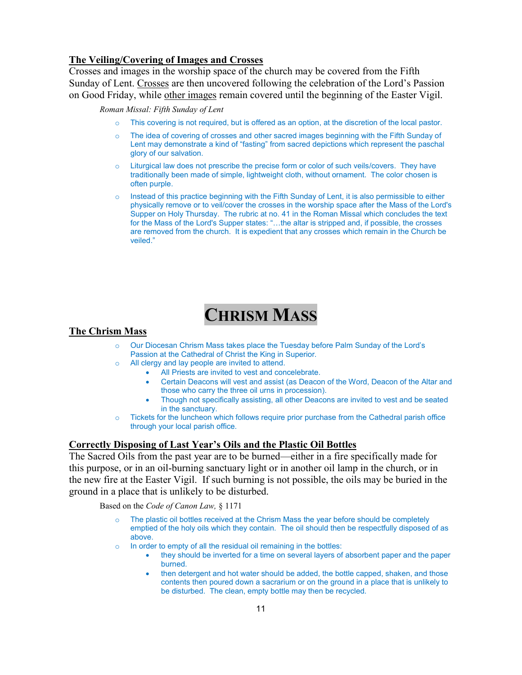#### **The Veiling/Covering of Images and Crosses**

Crosses and images in the worship space of the church may be covered from the Fifth Sunday of Lent. Crosses are then uncovered following the celebration of the Lord's Passion on Good Friday, while other images remain covered until the beginning of the Easter Vigil.

*Roman Missal: Fifth Sunday of Lent*

- o This covering is not required, but is offered as an option, at the discretion of the local pastor.
- o The idea of covering of crosses and other sacred images beginning with the Fifth Sunday of Lent may demonstrate a kind of "fasting" from sacred depictions which represent the paschal glory of our salvation.
- $\circ$  Liturgical law does not prescribe the precise form or color of such veils/covers. They have traditionally been made of simple, lightweight cloth, without ornament. The color chosen is often purple.
- $\circ$  Instead of this practice beginning with the Fifth Sunday of Lent, it is also permissible to either physically remove or to veil/cover the crosses in the worship space after the Mass of the Lord's Supper on Holy Thursday. The rubric at no. 41 in the Roman Missal which concludes the text for the Mass of the Lord's Supper states: "…the altar is stripped and, if possible, the crosses are removed from the church. It is expedient that any crosses which remain in the Church be veiled."

## **CHRISM MASS**

#### **The Chrism Mass**

- Our Diocesan Chrism Mass takes place the Tuesday before Palm Sunday of the Lord's Passion at the Cathedral of Christ the King in Superior.
- o All clergy and lay people are invited to attend.
	- All Priests are invited to vest and concelebrate.
	- Certain Deacons will vest and assist (as Deacon of the Word, Deacon of the Altar and those who carry the three oil urns in procession).
	- Though not specifically assisting, all other Deacons are invited to vest and be seated in the sanctuary.
- o Tickets for the luncheon which follows require prior purchase from the Cathedral parish office through your local parish office.

#### **Correctly Disposing of Last Year's Oils and the Plastic Oil Bottles**

The Sacred Oils from the past year are to be burned—either in a fire specifically made for this purpose, or in an oil-burning sanctuary light or in another oil lamp in the church, or in the new fire at the Easter Vigil. If such burning is not possible, the oils may be buried in the ground in a place that is unlikely to be disturbed.

Based on the *Code of Canon Law,* § 1171

- The plastic oil bottles received at the Chrism Mass the year before should be completely emptied of the holy oils which they contain. The oil should then be respectfully disposed of as above.
- $\circ$  In order to empty of all the residual oil remaining in the bottles:
	- they should be inverted for a time on several layers of absorbent paper and the paper burned.
	- then detergent and hot water should be added, the bottle capped, shaken, and those contents then poured down a sacrarium or on the ground in a place that is unlikely to be disturbed. The clean, empty bottle may then be recycled.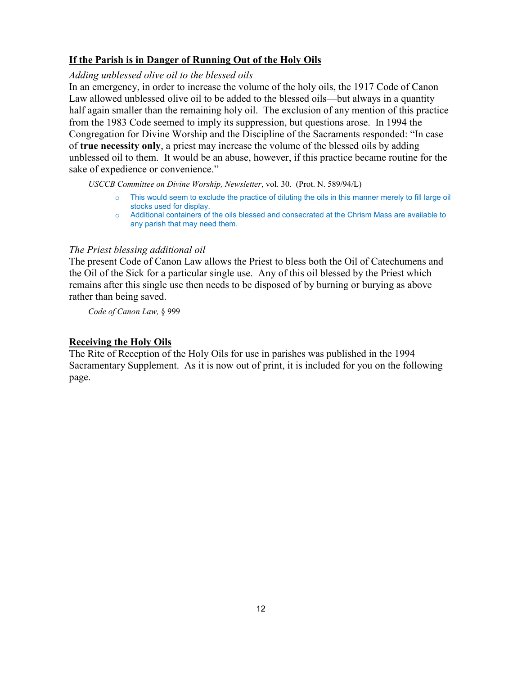#### **If the Parish is in Danger of Running Out of the Holy Oils**

#### *Adding unblessed olive oil to the blessed oils*

In an emergency, in order to increase the volume of the holy oils, the 1917 Code of Canon Law allowed unblessed olive oil to be added to the blessed oils—but always in a quantity half again smaller than the remaining holy oil. The exclusion of any mention of this practice from the 1983 Code seemed to imply its suppression, but questions arose. In 1994 the Congregation for Divine Worship and the Discipline of the Sacraments responded: "In case of **true necessity only**, a priest may increase the volume of the blessed oils by adding unblessed oil to them. It would be an abuse, however, if this practice became routine for the sake of expedience or convenience."

*USCCB Committee on Divine Worship, Newsletter*, vol. 30. (Prot. N. 589/94/L)

- o This would seem to exclude the practice of diluting the oils in this manner merely to fill large oil stocks used for display.
- o Additional containers of the oils blessed and consecrated at the Chrism Mass are available to any parish that may need them.

#### *The Priest blessing additional oil*

The present Code of Canon Law allows the Priest to bless both the Oil of Catechumens and the Oil of the Sick for a particular single use. Any of this oil blessed by the Priest which remains after this single use then needs to be disposed of by burning or burying as above rather than being saved.

*Code of Canon Law,* § 999

#### **Receiving the Holy Oils**

The Rite of Reception of the Holy Oils for use in parishes was published in the 1994 Sacramentary Supplement. As it is now out of print, it is included for you on the following page.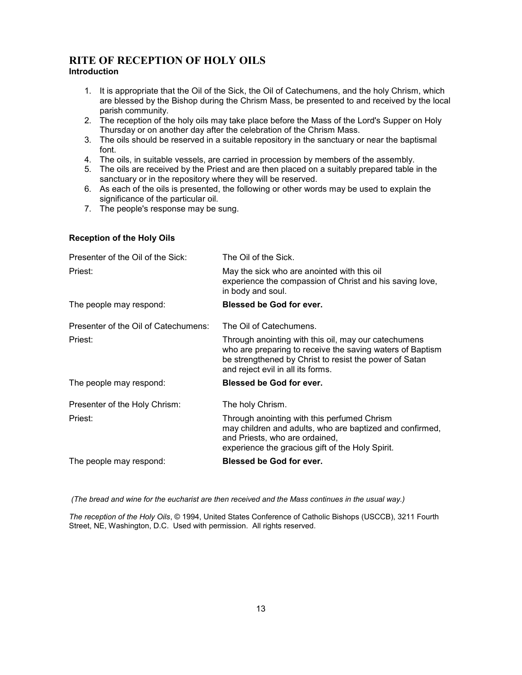#### **RITE OF RECEPTION OF HOLY OILS Introduction**

- 1. It is appropriate that the Oil of the Sick, the Oil of Catechumens, and the holy Chrism, which are blessed by the Bishop during the Chrism Mass, be presented to and received by the local parish community.
- 2. The reception of the holy oils may take place before the Mass of the Lord's Supper on Holy Thursday or on another day after the celebration of the Chrism Mass.
- 3. The oils should be reserved in a suitable repository in the sanctuary or near the baptismal font.
- 4. The oils, in suitable vessels, are carried in procession by members of the assembly.
- 5. The oils are received by the Priest and are then placed on a suitably prepared table in the sanctuary or in the repository where they will be reserved.
- 6. As each of the oils is presented, the following or other words may be used to explain the significance of the particular oil.
- 7. The people's response may be sung.

#### **Reception of the Holy Oils**

| Presenter of the Oil of the Sick:    | The Oil of the Sick.                                                                                                                                                                                             |
|--------------------------------------|------------------------------------------------------------------------------------------------------------------------------------------------------------------------------------------------------------------|
| Priest:                              | May the sick who are anointed with this oil<br>experience the compassion of Christ and his saving love,<br>in body and soul.                                                                                     |
| The people may respond:              | <b>Blessed be God for ever.</b>                                                                                                                                                                                  |
| Presenter of the Oil of Catechumens: | The Oil of Catechumens.                                                                                                                                                                                          |
| Priest:                              | Through anointing with this oil, may our catechumens<br>who are preparing to receive the saving waters of Baptism<br>be strengthened by Christ to resist the power of Satan<br>and reject evil in all its forms. |
| The people may respond:              | Blessed be God for ever.                                                                                                                                                                                         |
| Presenter of the Holy Chrism:        | The holy Chrism.                                                                                                                                                                                                 |
| Priest:                              | Through anointing with this perfumed Chrism<br>may children and adults, who are baptized and confirmed,<br>and Priests, who are ordained,<br>experience the gracious gift of the Holy Spirit.                    |
| The people may respond:              | <b>Blessed be God for ever.</b>                                                                                                                                                                                  |
|                                      |                                                                                                                                                                                                                  |

*(The bread and wine for the eucharist are then received and the Mass continues in the usual way.)*

*The reception of the Holy Oils*, © 1994, United States Conference of Catholic Bishops (USCCB), 3211 Fourth Street, NE, Washington, D.C. Used with permission. All rights reserved.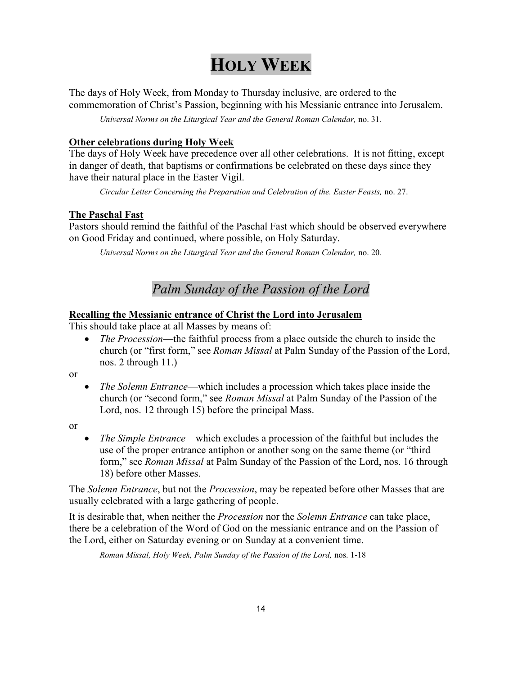## **HOLY WEEK**

The days of Holy Week, from Monday to Thursday inclusive, are ordered to the commemoration of Christ's Passion, beginning with his Messianic entrance into Jerusalem.

*Universal Norms on the Liturgical Year and the General Roman Calendar,* no. 31.

#### **Other celebrations during Holy Week**

The days of Holy Week have precedence over all other celebrations. It is not fitting, except in danger of death, that baptisms or confirmations be celebrated on these days since they have their natural place in the Easter Vigil.

*Circular Letter Concerning the Preparation and Celebration of the. Easter Feasts,* no. 27.

#### **The Paschal Fast**

Pastors should remind the faithful of the Paschal Fast which should be observed everywhere on Good Friday and continued, where possible, on Holy Saturday.

*Universal Norms on the Liturgical Year and the General Roman Calendar,* no. 20.

### *Palm Sunday of the Passion of the Lord*

#### **Recalling the Messianic entrance of Christ the Lord into Jerusalem**

This should take place at all Masses by means of:

 *The Procession*—the faithful process from a place outside the church to inside the church (or "first form," see *Roman Missal* at Palm Sunday of the Passion of the Lord, nos. 2 through 11.)

or

 *The Solemn Entrance*—which includes a procession which takes place inside the church (or "second form," see *Roman Missal* at Palm Sunday of the Passion of the Lord, nos. 12 through 15) before the principal Mass.

or

 *The Simple Entrance*—which excludes a procession of the faithful but includes the use of the proper entrance antiphon or another song on the same theme (or "third form," see *Roman Missal* at Palm Sunday of the Passion of the Lord, nos. 16 through 18) before other Masses.

The *Solemn Entrance*, but not the *Procession*, may be repeated before other Masses that are usually celebrated with a large gathering of people.

It is desirable that, when neither the *Procession* nor the *Solemn Entrance* can take place, there be a celebration of the Word of God on the messianic entrance and on the Passion of the Lord, either on Saturday evening or on Sunday at a convenient time.

*Roman Missal, Holy Week, Palm Sunday of the Passion of the Lord,* nos. 1-18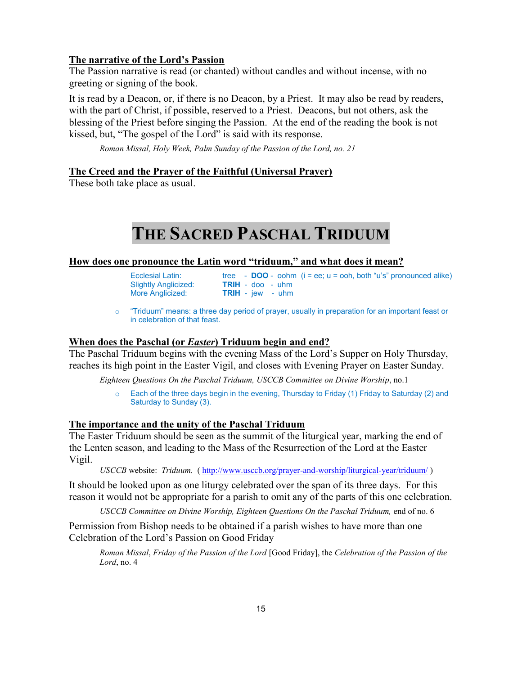#### **The narrative of the Lord's Passion**

The Passion narrative is read (or chanted) without candles and without incense, with no greeting or signing of the book.

It is read by a Deacon, or, if there is no Deacon, by a Priest. It may also be read by readers, with the part of Christ, if possible, reserved to a Priest. Deacons, but not others, ask the blessing of the Priest before singing the Passion. At the end of the reading the book is not kissed, but, "The gospel of the Lord" is said with its response.

*Roman Missal, Holy Week, Palm Sunday of the Passion of the Lord, no. 21*

#### **The Creed and the Prayer of the Faithful (Universal Prayer)**

These both take place as usual.

## **THE SACRED PASCHAL TRIDUUM**

#### **How does one pronounce the Latin word "triduum," and what does it mean?**

| Ecclesial Latin:            |  |  |  |
|-----------------------------|--|--|--|
| <b>Slightly Anglicized:</b> |  |  |  |
| More Anglicized:            |  |  |  |

Ecclesial Latin: tree - **DOO** - oohm (i = ee; u = ooh, both "u's" pronounced alike) Slightly Anglicized: **TRIH** - doo - uhm **TRIH** - jew - uhm

#### **When does the Paschal (or** *Easter***) Triduum begin and end?**

The Paschal Triduum begins with the evening Mass of the Lord's Supper on Holy Thursday, reaches its high point in the Easter Vigil, and closes with Evening Prayer on Easter Sunday.

*Eighteen Questions On the Paschal Triduum, USCCB Committee on Divine Worship*, no.1

o Each of the three days begin in the evening, Thursday to Friday (1) Friday to Saturday (2) and Saturday to Sunday (3).

#### **The importance and the unity of the Paschal Triduum**

The Easter Triduum should be seen as the summit of the liturgical year, marking the end of the Lenten season, and leading to the Mass of the Resurrection of the Lord at the Easter Vigil.

*USCCB* website: *Triduum.* (<http://www.usccb.org/prayer-and-worship/liturgical-year/triduum/> )

It should be looked upon as one liturgy celebrated over the span of its three days. For this reason it would not be appropriate for a parish to omit any of the parts of this one celebration.

*USCCB Committee on Divine Worship, Eighteen Ouestions On the Paschal Triduum, end of no. 6* 

Permission from Bishop needs to be obtained if a parish wishes to have more than one Celebration of the Lord's Passion on Good Friday

*Roman Missal*, *Friday of the Passion of the Lord* [Good Friday], the *Celebration of the Passion of the Lord*, no. 4

o "Triduum" means: a three day period of prayer, usually in preparation for an important feast or in celebration of that feast.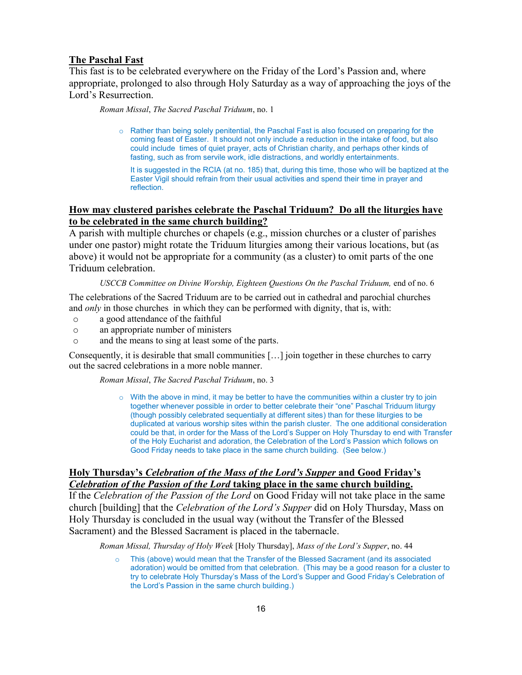#### **The Paschal Fast**

This fast is to be celebrated everywhere on the Friday of the Lord's Passion and, where appropriate, prolonged to also through Holy Saturday as a way of approaching the joys of the Lord's Resurrection.

*Roman Missal*, *The Sacred Paschal Triduum*, no. 1

o Rather than being solely penitential, the Paschal Fast is also focused on preparing for the coming feast of Easter. It should not only include a reduction in the intake of food, but also could include times of quiet prayer, acts of Christian charity, and perhaps other kinds of fasting, such as from servile work, idle distractions, and worldly entertainments.

It is suggested in the RCIA (at no. 185) that, during this time, those who will be baptized at the Easter Vigil should refrain from their usual activities and spend their time in prayer and reflection.

#### **How may clustered parishes celebrate the Paschal Triduum? Do all the liturgies have to be celebrated in the same church building?**

A parish with multiple churches or chapels (e.g., mission churches or a cluster of parishes under one pastor) might rotate the Triduum liturgies among their various locations, but (as above) it would not be appropriate for a community (as a cluster) to omit parts of the one Triduum celebration.

#### *USCCB Committee on Divine Worship, Eighteen Questions On the Paschal Triduum, end of no. 6*

The celebrations of the Sacred Triduum are to be carried out in cathedral and parochial churches and *only* in those churches in which they can be performed with dignity, that is, with:

- o a good attendance of the faithful
- o an appropriate number of ministers
- o and the means to sing at least some of the parts.

Consequently, it is desirable that small communities […] join together in these churches to carry out the sacred celebrations in a more noble manner.

*Roman Missal*, *The Sacred Paschal Triduum*, no. 3

 $\circ$  With the above in mind, it may be better to have the communities within a cluster try to join together whenever possible in order to better celebrate their "one" Paschal Triduum liturgy (though possibly celebrated sequentially at different sites) than for these liturgies to be duplicated at various worship sites within the parish cluster. The one additional consideration could be that, in order for the Mass of the Lord's Supper on Holy Thursday to end with Transfer of the Holy Eucharist and adoration, the Celebration of the Lord's Passion which follows on Good Friday needs to take place in the same church building. (See below.)

#### **Holy Thursday's** *Celebration of the Mass of the Lord's Supper* **and Good Friday's**  *Celebration of the Passion of the Lord* **taking place in the same church building.**

If the *Celebration of the Passion of the Lord* on Good Friday will not take place in the same church [building] that the *Celebration of the Lord's Supper* did on Holy Thursday, Mass on Holy Thursday is concluded in the usual way (without the Transfer of the Blessed Sacrament) and the Blessed Sacrament is placed in the tabernacle.

*Roman Missal, Thursday of Holy Week* [Holy Thursday], *Mass of the Lord's Supper*, no. 44

o This (above) would mean that the Transfer of the Blessed Sacrament (and its associated adoration) would be omitted from that celebration. (This may be a good reason for a cluster to try to celebrate Holy Thursday's Mass of the Lord's Supper and Good Friday's Celebration of the Lord's Passion in the same church building.)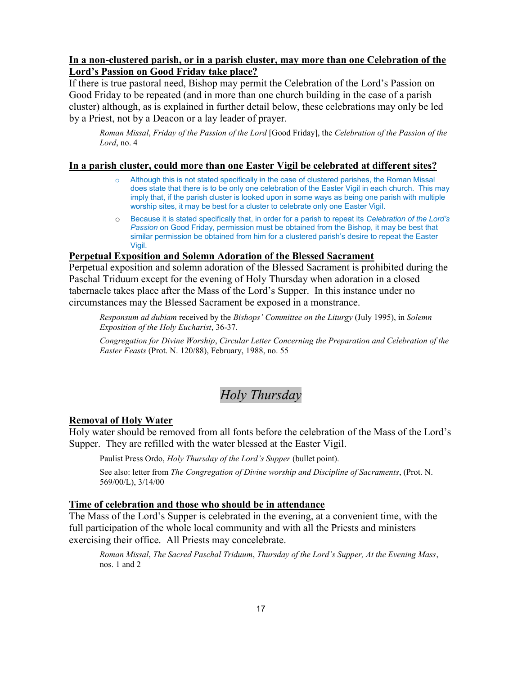#### **In a non-clustered parish, or in a parish cluster, may more than one Celebration of the Lord's Passion on Good Friday take place?**

If there is true pastoral need, Bishop may permit the Celebration of the Lord's Passion on Good Friday to be repeated (and in more than one church building in the case of a parish cluster) although, as is explained in further detail below, these celebrations may only be led by a Priest, not by a Deacon or a lay leader of prayer.

*Roman Missal*, *Friday of the Passion of the Lord* [Good Friday], the *Celebration of the Passion of the Lord*, no. 4

#### **In a parish cluster, could more than one Easter Vigil be celebrated at different sites?**

- Although this is not stated specifically in the case of clustered parishes, the Roman Missal does state that there is to be only one celebration of the Easter Vigil in each church. This may imply that, if the parish cluster is looked upon in some ways as being one parish with multiple worship sites, it may be best for a cluster to celebrate only one Easter Vigil.
- o Because it is stated specifically that, in order for a parish to repeat its *Celebration of the Lord's Passion* on Good Friday, permission must be obtained from the Bishop, it may be best that similar permission be obtained from him for a clustered parish's desire to repeat the Easter Vigil.

#### **Perpetual Exposition and Solemn Adoration of the Blessed Sacrament**

Perpetual exposition and solemn adoration of the Blessed Sacrament is prohibited during the Paschal Triduum except for the evening of Holy Thursday when adoration in a closed tabernacle takes place after the Mass of the Lord's Supper. In this instance under no circumstances may the Blessed Sacrament be exposed in a monstrance.

*Responsum ad dubiam* received by the *Bishops' Committee on the Liturgy* (July 1995), in *Solemn Exposition of the Holy Eucharist*, 36-37.

*Congregation for Divine Worship*, *Circular Letter Concerning the Preparation and Celebration of the Easter Feasts* (Prot. N. 120/88), February, 1988, no. 55

### *Holy Thursday*

#### **Removal of Holy Water**

Holy water should be removed from all fonts before the celebration of the Mass of the Lord's Supper. They are refilled with the water blessed at the Easter Vigil.

Paulist Press Ordo, *Holy Thursday of the Lord's Supper* (bullet point).

See also: letter from *The Congregation of Divine worship and Discipline of Sacraments*, (Prot. N. 569/00/L), 3/14/00

#### **Time of celebration and those who should be in attendance**

The Mass of the Lord's Supper is celebrated in the evening, at a convenient time, with the full participation of the whole local community and with all the Priests and ministers exercising their office. All Priests may concelebrate.

*Roman Missal*, *The Sacred Paschal Triduum*, *Thursday of the Lord's Supper, At the Evening Mass*, nos. 1 and 2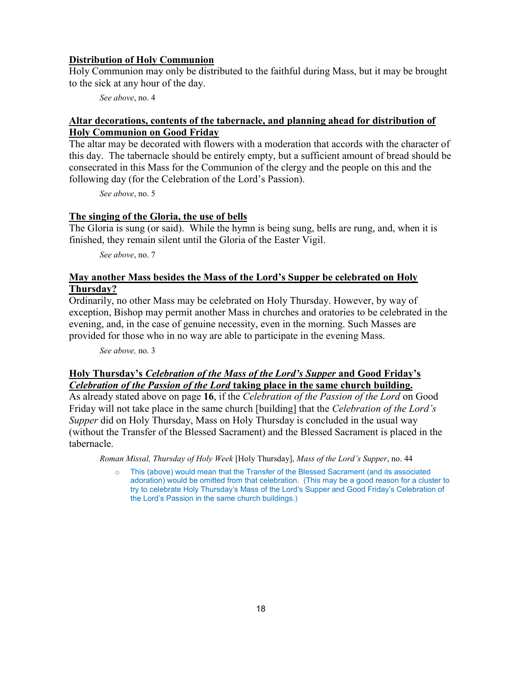#### **Distribution of Holy Communion**

Holy Communion may only be distributed to the faithful during Mass, but it may be brought to the sick at any hour of the day.

*See above*, no. 4

#### **Altar decorations, contents of the tabernacle, and planning ahead for distribution of Holy Communion on Good Friday**

The altar may be decorated with flowers with a moderation that accords with the character of this day. The tabernacle should be entirely empty, but a sufficient amount of bread should be consecrated in this Mass for the Communion of the clergy and the people on this and the following day (for the Celebration of the Lord's Passion).

*See above*, no. 5

#### **The singing of the Gloria, the use of bells**

The Gloria is sung (or said). While the hymn is being sung, bells are rung, and, when it is finished, they remain silent until the Gloria of the Easter Vigil.

*See above*, no. 7

#### **May another Mass besides the Mass of the Lord's Supper be celebrated on Holy Thursday?**

Ordinarily, no other Mass may be celebrated on Holy Thursday. However, by way of exception, Bishop may permit another Mass in churches and oratories to be celebrated in the evening, and, in the case of genuine necessity, even in the morning. Such Masses are provided for those who in no way are able to participate in the evening Mass.

*See above,* no. 3

#### **Holy Thursday's** *Celebration of the Mass of the Lord's Supper* **and Good Friday's**  *Celebration of the Passion of the Lord* **taking place in the same church building.**

As already stated above on page **16**, if the *Celebration of the Passion of the Lord* on Good Friday will not take place in the same church [building] that the *Celebration of the Lord's Supper* did on Holy Thursday, Mass on Holy Thursday is concluded in the usual way (without the Transfer of the Blessed Sacrament) and the Blessed Sacrament is placed in the tabernacle.

*Roman Missal, Thursday of Holy Week* [Holy Thursday], *Mass of the Lord's Supper*, no. 44

o This (above) would mean that the Transfer of the Blessed Sacrament (and its associated adoration) would be omitted from that celebration. (This may be a good reason for a cluster to try to celebrate Holy Thursday's Mass of the Lord's Supper and Good Friday's Celebration of the Lord's Passion in the same church buildings.)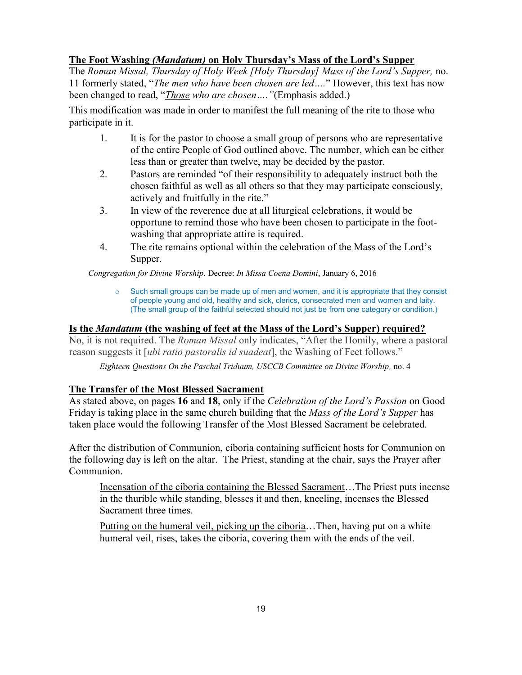#### **The Foot Washing** *(Mandatum)* **on Holy Thursday's Mass of the Lord's Supper**

The *Roman Missal, Thursday of Holy Week [Holy Thursday] Mass of the Lord's Supper,* no. 11 formerly stated, "*The men who have been chosen are led….*" However, this text has now been changed to read, "*Those who are chosen…."*(Emphasis added.)

This modification was made in order to manifest the full meaning of the rite to those who participate in it.

- 1. It is for the pastor to choose a small group of persons who are representative of the entire People of God outlined above. The number, which can be either less than or greater than twelve, may be decided by the pastor.
- 2. Pastors are reminded "of their responsibility to adequately instruct both the chosen faithful as well as all others so that they may participate consciously, actively and fruitfully in the rite."
- 3. In view of the reverence due at all liturgical celebrations, it would be opportune to remind those who have been chosen to participate in the footwashing that appropriate attire is required.
- 4. The rite remains optional within the celebration of the Mass of the Lord's Supper.

*Congregation for Divine Worship*, Decree: *In Missa Coena Domini*, January 6, 2016

 $\circ$  Such small groups can be made up of men and women, and it is appropriate that they consist of people young and old, healthy and sick, clerics, consecrated men and women and laity. (The small group of the faithful selected should not just be from one category or condition.)

#### **Is the** *Mandatum* **(the washing of feet at the Mass of the Lord's Supper) required?**

No, it is not required. The *Roman Missal* only indicates, "After the Homily, where a pastoral reason suggests it [*ubi ratio pastoralis id suadeat*], the Washing of Feet follows."

*Eighteen Questions On the Paschal Triduum, USCCB Committee on Divine Worship,* no. 4

#### **The Transfer of the Most Blessed Sacrament**

As stated above, on pages **16** and **18**, only if the *Celebration of the Lord's Passion* on Good Friday is taking place in the same church building that the *Mass of the Lord's Supper* has taken place would the following Transfer of the Most Blessed Sacrament be celebrated.

After the distribution of Communion, ciboria containing sufficient hosts for Communion on the following day is left on the altar. The Priest, standing at the chair, says the Prayer after Communion.

Incensation of the ciboria containing the Blessed Sacrament...The Priest puts incense in the thurible while standing, blesses it and then, kneeling, incenses the Blessed Sacrament three times.

Putting on the humeral veil, picking up the ciboria...Then, having put on a white humeral veil, rises, takes the ciboria, covering them with the ends of the veil.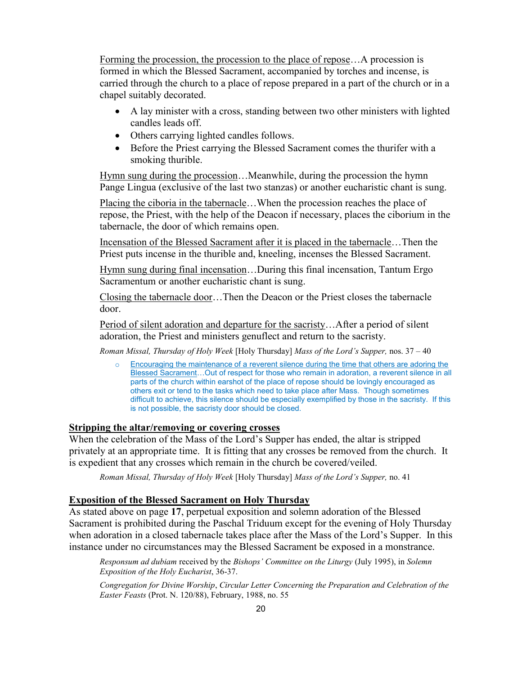Forming the procession, the procession to the place of repose…A procession is formed in which the Blessed Sacrament, accompanied by torches and incense, is carried through the church to a place of repose prepared in a part of the church or in a chapel suitably decorated.

- A lay minister with a cross, standing between two other ministers with lighted candles leads off.
- Others carrying lighted candles follows.
- Before the Priest carrying the Blessed Sacrament comes the thurifer with a smoking thurible.

Hymn sung during the procession…Meanwhile, during the procession the hymn Pange Lingua (exclusive of the last two stanzas) or another eucharistic chant is sung.

Placing the ciboria in the tabernacle...When the procession reaches the place of repose, the Priest, with the help of the Deacon if necessary, places the ciborium in the tabernacle, the door of which remains open.

Incensation of the Blessed Sacrament after it is placed in the tabernacle…Then the Priest puts incense in the thurible and, kneeling, incenses the Blessed Sacrament.

Hymn sung during final incensation…During this final incensation, Tantum Ergo Sacramentum or another eucharistic chant is sung.

Closing the tabernacle door…Then the Deacon or the Priest closes the tabernacle door.

Period of silent adoration and departure for the sacristy…After a period of silent adoration, the Priest and ministers genuflect and return to the sacristy.

*Roman Missal, Thursday of Holy Week* [Holy Thursday] *Mass of the Lord's Supper,* nos. 37 – 40

o Encouraging the maintenance of a reverent silence during the time that others are adoring the Blessed Sacrament…Out of respect for those who remain in adoration, a reverent silence in all parts of the church within earshot of the place of repose should be lovingly encouraged as others exit or tend to the tasks which need to take place after Mass. Though sometimes difficult to achieve, this silence should be especially exemplified by those in the sacristy. If this is not possible, the sacristy door should be closed.

#### **Stripping the altar/removing or covering crosses**

When the celebration of the Mass of the Lord's Supper has ended, the altar is stripped privately at an appropriate time. It is fitting that any crosses be removed from the church. It is expedient that any crosses which remain in the church be covered/veiled.

*Roman Missal, Thursday of Holy Week* [Holy Thursday] *Mass of the Lord's Supper,* no. 41

#### **Exposition of the Blessed Sacrament on Holy Thursday**

As stated above on page **17**, perpetual exposition and solemn adoration of the Blessed Sacrament is prohibited during the Paschal Triduum except for the evening of Holy Thursday when adoration in a closed tabernacle takes place after the Mass of the Lord's Supper. In this instance under no circumstances may the Blessed Sacrament be exposed in a monstrance.

*Responsum ad dubiam* received by the *Bishops' Committee on the Liturgy* (July 1995), in *Solemn Exposition of the Holy Eucharist*, 36-37.

*Congregation for Divine Worship*, *Circular Letter Concerning the Preparation and Celebration of the Easter Feasts* (Prot. N. 120/88), February, 1988, no. 55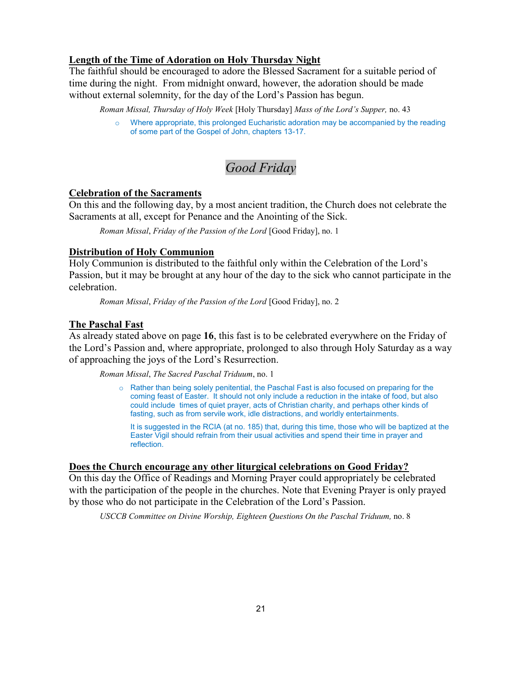#### **Length of the Time of Adoration on Holy Thursday Night**

The faithful should be encouraged to adore the Blessed Sacrament for a suitable period of time during the night. From midnight onward, however, the adoration should be made without external solemnity, for the day of the Lord's Passion has begun.

*Roman Missal, Thursday of Holy Week* [Holy Thursday] *Mass of the Lord's Supper,* no. 43

Where appropriate, this prolonged Eucharistic adoration may be accompanied by the reading of some part of the Gospel of John, chapters 13-17.

### *Good Friday*

#### **Celebration of the Sacraments**

On this and the following day, by a most ancient tradition, the Church does not celebrate the Sacraments at all, except for Penance and the Anointing of the Sick.

*Roman Missal*, *Friday of the Passion of the Lord* [Good Friday], no. 1

#### **Distribution of Holy Communion**

Holy Communion is distributed to the faithful only within the Celebration of the Lord's Passion, but it may be brought at any hour of the day to the sick who cannot participate in the celebration.

*Roman Missal*, *Friday of the Passion of the Lord* [Good Friday], no. 2

#### **The Paschal Fast**

As already stated above on page **16**, this fast is to be celebrated everywhere on the Friday of the Lord's Passion and, where appropriate, prolonged to also through Holy Saturday as a way of approaching the joys of the Lord's Resurrection.

*Roman Missal*, *The Sacred Paschal Triduum*, no. 1

o Rather than being solely penitential, the Paschal Fast is also focused on preparing for the coming feast of Easter. It should not only include a reduction in the intake of food, but also could include times of quiet prayer, acts of Christian charity, and perhaps other kinds of fasting, such as from servile work, idle distractions, and worldly entertainments.

It is suggested in the RCIA (at no. 185) that, during this time, those who will be baptized at the Easter Vigil should refrain from their usual activities and spend their time in prayer and reflection.

#### **Does the Church encourage any other liturgical celebrations on Good Friday?**

On this day the Office of Readings and Morning Prayer could appropriately be celebrated with the participation of the people in the churches. Note that Evening Prayer is only prayed by those who do not participate in the Celebration of the Lord's Passion.

*USCCB Committee on Divine Worship, Eighteen Questions On the Paschal Triduum,* no. 8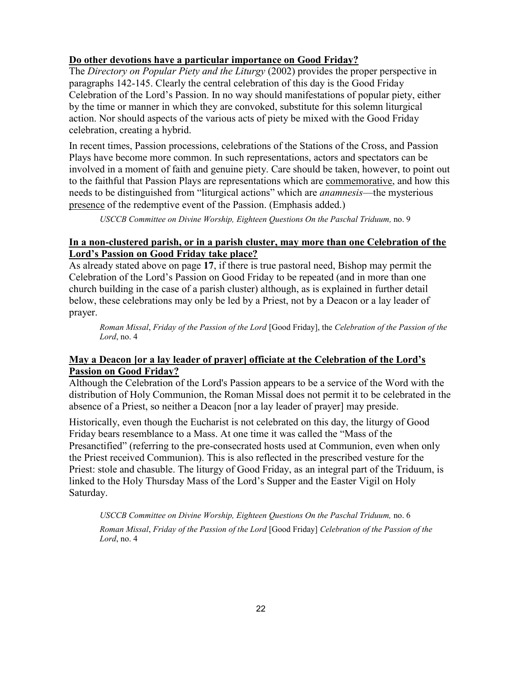#### **Do other devotions have a particular importance on Good Friday?**

The *Directory on Popular Piety and the Liturgy* (2002) provides the proper perspective in paragraphs 142-145. Clearly the central celebration of this day is the Good Friday Celebration of the Lord's Passion. In no way should manifestations of popular piety, either by the time or manner in which they are convoked, substitute for this solemn liturgical action. Nor should aspects of the various acts of piety be mixed with the Good Friday celebration, creating a hybrid.

In recent times, Passion processions, celebrations of the Stations of the Cross, and Passion Plays have become more common. In such representations, actors and spectators can be involved in a moment of faith and genuine piety. Care should be taken, however, to point out to the faithful that Passion Plays are representations which are commemorative, and how this needs to be distinguished from "liturgical actions" which are *anamnesis*—the mysterious presence of the redemptive event of the Passion. (Emphasis added.)

*USCCB Committee on Divine Worship, Eighteen Questions On the Paschal Triduum,* no. 9

#### **In a non-clustered parish, or in a parish cluster, may more than one Celebration of the Lord's Passion on Good Friday take place?**

As already stated above on page **17**, if there is true pastoral need, Bishop may permit the Celebration of the Lord's Passion on Good Friday to be repeated (and in more than one church building in the case of a parish cluster) although, as is explained in further detail below, these celebrations may only be led by a Priest, not by a Deacon or a lay leader of prayer.

*Roman Missal*, *Friday of the Passion of the Lord* [Good Friday], the *Celebration of the Passion of the Lord*, no. 4

#### **May a Deacon [or a lay leader of prayer] officiate at the Celebration of the Lord's Passion on Good Friday?**

Although the Celebration of the Lord's Passion appears to be a service of the Word with the distribution of Holy Communion, the Roman Missal does not permit it to be celebrated in the absence of a Priest, so neither a Deacon [nor a lay leader of prayer] may preside.

Historically, even though the Eucharist is not celebrated on this day, the liturgy of Good Friday bears resemblance to a Mass. At one time it was called the "Mass of the Presanctified" (referring to the pre-consecrated hosts used at Communion, even when only the Priest received Communion). This is also reflected in the prescribed vesture for the Priest: stole and chasuble. The liturgy of Good Friday, as an integral part of the Triduum, is linked to the Holy Thursday Mass of the Lord's Supper and the Easter Vigil on Holy Saturday.

*USCCB Committee on Divine Worship, Eighteen Questions On the Paschal Triduum,* no. 6 *Roman Missal*, *Friday of the Passion of the Lord* [Good Friday] *Celebration of the Passion of the Lord*, no. 4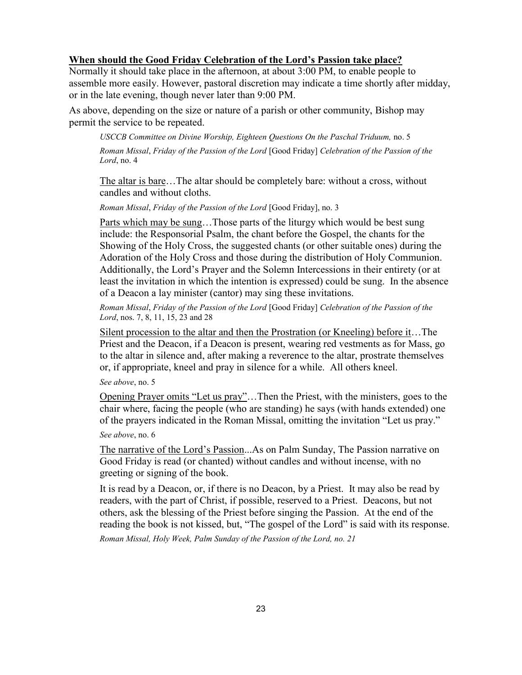#### **When should the Good Friday Celebration of the Lord's Passion take place?**

Normally it should take place in the afternoon, at about 3:00 PM, to enable people to assemble more easily. However, pastoral discretion may indicate a time shortly after midday, or in the late evening, though never later than 9:00 PM.

As above, depending on the size or nature of a parish or other community, Bishop may permit the service to be repeated.

*USCCB Committee on Divine Worship, Eighteen Questions On the Paschal Triduum,* no. 5 *Roman Missal*, *Friday of the Passion of the Lord* [Good Friday] *Celebration of the Passion of the Lord*, no. 4

The altar is bare…The altar should be completely bare: without a cross, without candles and without cloths.

*Roman Missal*, *Friday of the Passion of the Lord* [Good Friday], no. 3

Parts which may be sung…Those parts of the liturgy which would be best sung include: the Responsorial Psalm, the chant before the Gospel, the chants for the Showing of the Holy Cross, the suggested chants (or other suitable ones) during the Adoration of the Holy Cross and those during the distribution of Holy Communion. Additionally, the Lord's Prayer and the Solemn Intercessions in their entirety (or at least the invitation in which the intention is expressed) could be sung. In the absence of a Deacon a lay minister (cantor) may sing these invitations.

*Roman Missal*, *Friday of the Passion of the Lord* [Good Friday] *Celebration of the Passion of the Lord*, nos. 7, 8, 11, 15, 23 and 28

Silent procession to the altar and then the Prostration (or Kneeling) before it…The Priest and the Deacon, if a Deacon is present, wearing red vestments as for Mass, go to the altar in silence and, after making a reverence to the altar, prostrate themselves or, if appropriate, kneel and pray in silence for a while. All others kneel.

*See above*, no. 5

Opening Prayer omits "Let us pray"…Then the Priest, with the ministers, goes to the chair where, facing the people (who are standing) he says (with hands extended) one of the prayers indicated in the Roman Missal, omitting the invitation "Let us pray."

*See above*, no. 6

The narrative of the Lord's Passion...As on Palm Sunday, The Passion narrative on Good Friday is read (or chanted) without candles and without incense, with no greeting or signing of the book.

It is read by a Deacon, or, if there is no Deacon, by a Priest. It may also be read by readers, with the part of Christ, if possible, reserved to a Priest. Deacons, but not others, ask the blessing of the Priest before singing the Passion. At the end of the reading the book is not kissed, but, "The gospel of the Lord" is said with its response.

*Roman Missal, Holy Week, Palm Sunday of the Passion of the Lord, no. 21*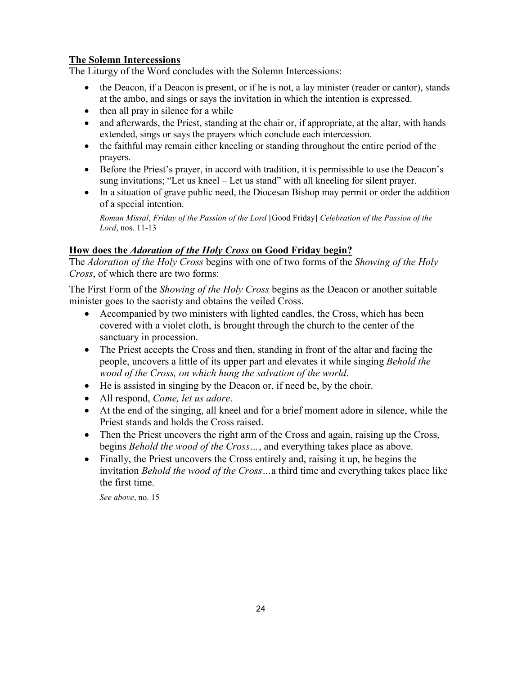#### **The Solemn Intercessions**

The Liturgy of the Word concludes with the Solemn Intercessions:

- the Deacon, if a Deacon is present, or if he is not, a lay minister (reader or cantor), stands at the ambo, and sings or says the invitation in which the intention is expressed.
- $\bullet$  then all pray in silence for a while
- and afterwards, the Priest, standing at the chair or, if appropriate, at the altar, with hands extended, sings or says the prayers which conclude each intercession.
- the faithful may remain either kneeling or standing throughout the entire period of the prayers.
- Before the Priest's prayer, in accord with tradition, it is permissible to use the Deacon's sung invitations; "Let us kneel – Let us stand" with all kneeling for silent prayer.
- In a situation of grave public need, the Diocesan Bishop may permit or order the addition of a special intention.

*Roman Missal*, *Friday of the Passion of the Lord* [Good Friday] *Celebration of the Passion of the Lord*, nos. 11-13

#### **How does the** *Adoration of the Holy Cross* **on Good Friday begin?**

The *Adoration of the Holy Cross* begins with one of two forms of the *Showing of the Holy Cross*, of which there are two forms:

The First Form of the *Showing of the Holy Cross* begins as the Deacon or another suitable minister goes to the sacristy and obtains the veiled Cross.

- Accompanied by two ministers with lighted candles, the Cross, which has been covered with a violet cloth, is brought through the church to the center of the sanctuary in procession.
- The Priest accepts the Cross and then, standing in front of the altar and facing the people, uncovers a little of its upper part and elevates it while singing *Behold the wood of the Cross, on which hung the salvation of the world*.
- He is assisted in singing by the Deacon or, if need be, by the choir.
- All respond, *Come, let us adore*.
- At the end of the singing, all kneel and for a brief moment adore in silence, while the Priest stands and holds the Cross raised.
- Then the Priest uncovers the right arm of the Cross and again, raising up the Cross, begins *Behold the wood of the Cross…*, and everything takes place as above.
- Finally, the Priest uncovers the Cross entirely and, raising it up, he begins the invitation *Behold the wood of the Cross…*a third time and everything takes place like the first time.

*See above*, no. 15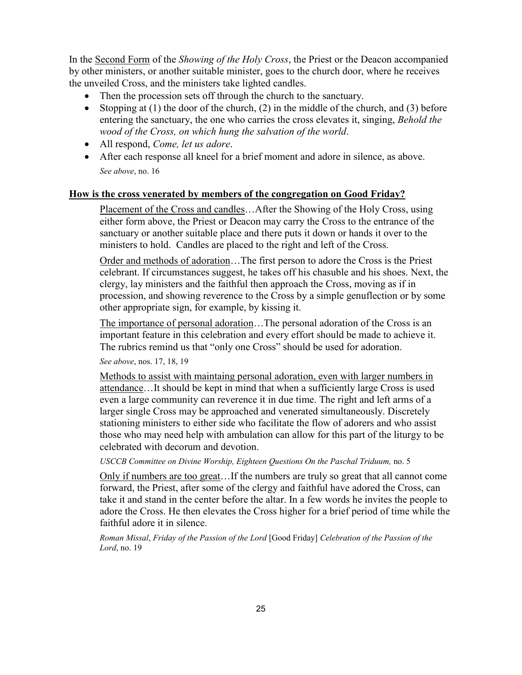In the Second Form of the *Showing of the Holy Cross*, the Priest or the Deacon accompanied by other ministers, or another suitable minister, goes to the church door, where he receives the unveiled Cross, and the ministers take lighted candles.

- Then the procession sets off through the church to the sanctuary.
- Stopping at (1) the door of the church, (2) in the middle of the church, and (3) before entering the sanctuary, the one who carries the cross elevates it, singing, *Behold the wood of the Cross, on which hung the salvation of the world*.
- All respond, *Come, let us adore*.
- After each response all kneel for a brief moment and adore in silence, as above. *See above*, no. 16

#### **How is the cross venerated by members of the congregation on Good Friday?**

Placement of the Cross and candles…After the Showing of the Holy Cross, using either form above, the Priest or Deacon may carry the Cross to the entrance of the sanctuary or another suitable place and there puts it down or hands it over to the ministers to hold. Candles are placed to the right and left of the Cross.

Order and methods of adoration...The first person to adore the Cross is the Priest celebrant. If circumstances suggest, he takes off his chasuble and his shoes. Next, the clergy, lay ministers and the faithful then approach the Cross, moving as if in procession, and showing reverence to the Cross by a simple genuflection or by some other appropriate sign, for example, by kissing it.

The importance of personal adoration…The personal adoration of the Cross is an important feature in this celebration and every effort should be made to achieve it. The rubrics remind us that "only one Cross" should be used for adoration.

*See above*, nos. 17, 18, 19

Methods to assist with maintaing personal adoration, even with larger numbers in attendance…It should be kept in mind that when a sufficiently large Cross is used even a large community can reverence it in due time. The right and left arms of a larger single Cross may be approached and venerated simultaneously. Discretely stationing ministers to either side who facilitate the flow of adorers and who assist those who may need help with ambulation can allow for this part of the liturgy to be celebrated with decorum and devotion.

*USCCB Committee on Divine Worship, Eighteen Questions On the Paschal Triduum,* no. 5

Only if numbers are too great…If the numbers are truly so great that all cannot come forward, the Priest, after some of the clergy and faithful have adored the Cross, can take it and stand in the center before the altar. In a few words he invites the people to adore the Cross. He then elevates the Cross higher for a brief period of time while the faithful adore it in silence.

*Roman Missal*, *Friday of the Passion of the Lord* [Good Friday] *Celebration of the Passion of the Lord*, no. 19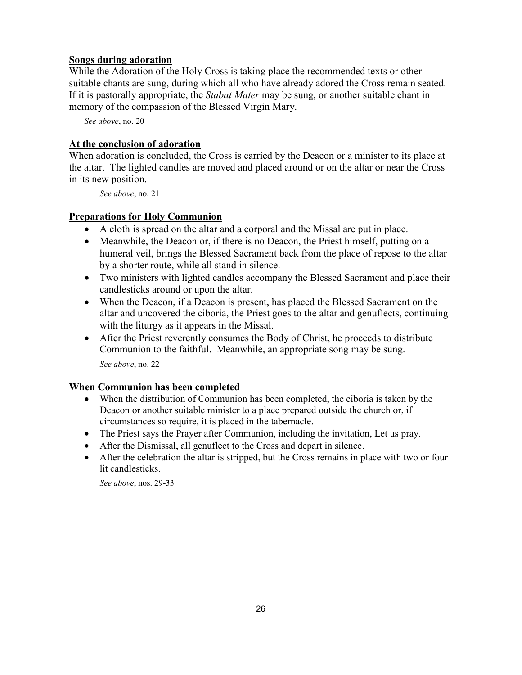#### **Songs during adoration**

While the Adoration of the Holy Cross is taking place the recommended texts or other suitable chants are sung, during which all who have already adored the Cross remain seated. If it is pastorally appropriate, the *Stabat Mater* may be sung, or another suitable chant in memory of the compassion of the Blessed Virgin Mary.

*See above*, no. 20

#### **At the conclusion of adoration**

When adoration is concluded, the Cross is carried by the Deacon or a minister to its place at the altar. The lighted candles are moved and placed around or on the altar or near the Cross in its new position.

*See above*, no. 21

#### **Preparations for Holy Communion**

- A cloth is spread on the altar and a corporal and the Missal are put in place.
- Meanwhile, the Deacon or, if there is no Deacon, the Priest himself, putting on a humeral veil, brings the Blessed Sacrament back from the place of repose to the altar by a shorter route, while all stand in silence.
- Two ministers with lighted candles accompany the Blessed Sacrament and place their candlesticks around or upon the altar.
- When the Deacon, if a Deacon is present, has placed the Blessed Sacrament on the altar and uncovered the ciboria, the Priest goes to the altar and genuflects, continuing with the liturgy as it appears in the Missal.
- After the Priest reverently consumes the Body of Christ, he proceeds to distribute Communion to the faithful. Meanwhile, an appropriate song may be sung. *See above*, no. 22

#### **When Communion has been completed**

- When the distribution of Communion has been completed, the ciboria is taken by the Deacon or another suitable minister to a place prepared outside the church or, if circumstances so require, it is placed in the tabernacle.
- The Priest says the Prayer after Communion, including the invitation, Let us pray.
- After the Dismissal, all genuflect to the Cross and depart in silence.
- After the celebration the altar is stripped, but the Cross remains in place with two or four lit candlesticks.

*See above*, nos. 29-33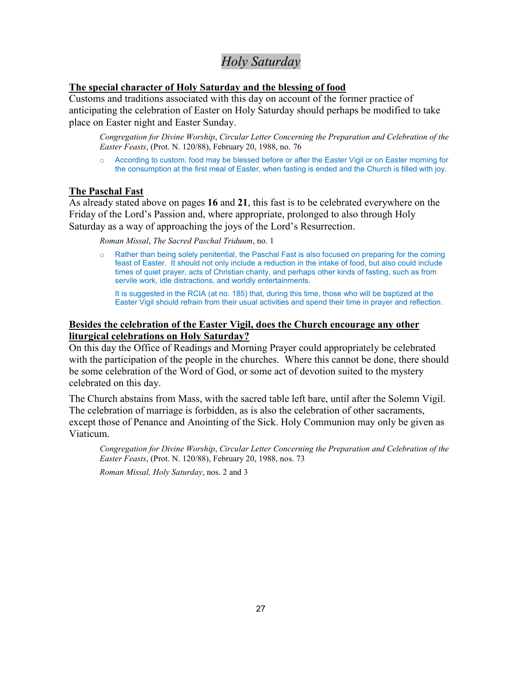### *Holy Saturday*

#### **The special character of Holy Saturday and the blessing of food**

Customs and traditions associated with this day on account of the former practice of anticipating the celebration of Easter on Holy Saturday should perhaps be modified to take place on Easter night and Easter Sunday.

*Congregation for Divine Worship*, *Circular Letter Concerning the Preparation and Celebration of the Easter Feasts*, (Prot. N. 120/88), February 20, 1988, no. 76

o According to custom, food may be blessed before or after the Easter Vigil or on Easter morning for the consumption at the first meal of Easter, when fasting is ended and the Church is filled with joy.

#### **The Paschal Fast**

As already stated above on pages **16** and **21**, this fast is to be celebrated everywhere on the Friday of the Lord's Passion and, where appropriate, prolonged to also through Holy Saturday as a way of approaching the joys of the Lord's Resurrection.

*Roman Missal*, *The Sacred Paschal Triduum*, no. 1

Rather than being solely penitential, the Paschal Fast is also focused on preparing for the coming feast of Easter. It should not only include a reduction in the intake of food, but also could include times of quiet prayer, acts of Christian charity, and perhaps other kinds of fasting, such as from servile work, idle distractions, and worldly entertainments.

It is suggested in the RCIA (at no. 185) that, during this time, those who will be baptized at the Easter Vigil should refrain from their usual activities and spend their time in prayer and reflection.

#### **Besides the celebration of the Easter Vigil, does the Church encourage any other liturgical celebrations on Holy Saturday?**

On this day the Office of Readings and Morning Prayer could appropriately be celebrated with the participation of the people in the churches. Where this cannot be done, there should be some celebration of the Word of God, or some act of devotion suited to the mystery celebrated on this day.

The Church abstains from Mass, with the sacred table left bare, until after the Solemn Vigil. The celebration of marriage is forbidden, as is also the celebration of other sacraments, except those of Penance and Anointing of the Sick. Holy Communion may only be given as Viaticum.

*Congregation for Divine Worship*, *Circular Letter Concerning the Preparation and Celebration of the Easter Feasts*, (Prot. N. 120/88), February 20, 1988, nos. 73

*Roman Missal, Holy Saturday*, nos. 2 and 3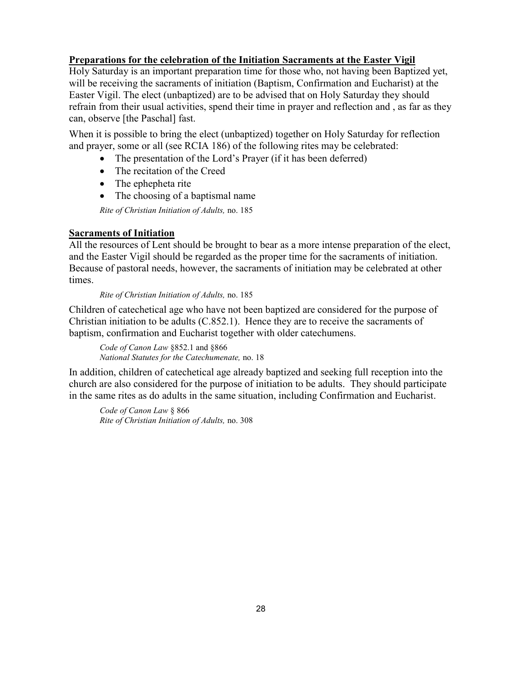#### **Preparations for the celebration of the Initiation Sacraments at the Easter Vigil**

Holy Saturday is an important preparation time for those who, not having been Baptized yet, will be receiving the sacraments of initiation (Baptism, Confirmation and Eucharist) at the Easter Vigil. The elect (unbaptized) are to be advised that on Holy Saturday they should refrain from their usual activities, spend their time in prayer and reflection and , as far as they can, observe [the Paschal] fast.

When it is possible to bring the elect (unbaptized) together on Holy Saturday for reflection and prayer, some or all (see RCIA 186) of the following rites may be celebrated:

- The presentation of the Lord's Prayer (if it has been deferred)
- The recitation of the Creed
- The ephepheta rite
- The choosing of a baptismal name

*Rite of Christian Initiation of Adults,* no. 185

#### **Sacraments of Initiation**

All the resources of Lent should be brought to bear as a more intense preparation of the elect, and the Easter Vigil should be regarded as the proper time for the sacraments of initiation. Because of pastoral needs, however, the sacraments of initiation may be celebrated at other times.

*Rite of Christian Initiation of Adults,* no. 185

Children of catechetical age who have not been baptized are considered for the purpose of Christian initiation to be adults (C.852.1). Hence they are to receive the sacraments of baptism, confirmation and Eucharist together with older catechumens.

*Code of Canon Law* §852.1 and §866 *National Statutes for the Catechumenate,* no. 18

In addition, children of catechetical age already baptized and seeking full reception into the church are also considered for the purpose of initiation to be adults. They should participate in the same rites as do adults in the same situation, including Confirmation and Eucharist.

*Code of Canon Law* § 866 *Rite of Christian Initiation of Adults,* no. 308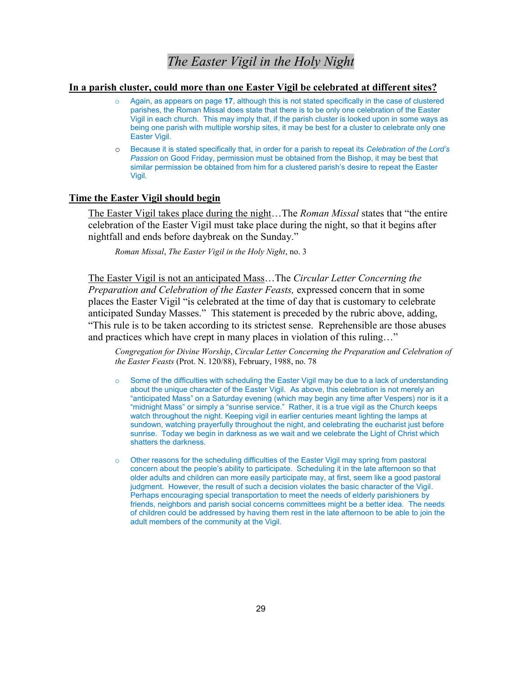### *The Easter Vigil in the Holy Night*

#### **In a parish cluster, could more than one Easter Vigil be celebrated at different sites?**

- Again, as appears on page 17, although this is not stated specifically in the case of clustered parishes, the Roman Missal does state that there is to be only one celebration of the Easter Vigil in each church. This may imply that, if the parish cluster is looked upon in some ways as being one parish with multiple worship sites, it may be best for a cluster to celebrate only one Easter Vigil.
- o Because it is stated specifically that, in order for a parish to repeat its *Celebration of the Lord's Passion* on Good Friday, permission must be obtained from the Bishop, it may be best that similar permission be obtained from him for a clustered parish's desire to repeat the Easter Vigil.

#### **Time the Easter Vigil should begin**

The Easter Vigil takes place during the night…The *Roman Missal* states that "the entire celebration of the Easter Vigil must take place during the night, so that it begins after nightfall and ends before daybreak on the Sunday."

*Roman Missal*, *The Easter Vigil in the Holy Night*, no. 3

The Easter Vigil is not an anticipated Mass…The *Circular Letter Concerning the Preparation and Celebration of the Easter Feasts,* expressed concern that in some places the Easter Vigil "is celebrated at the time of day that is customary to celebrate anticipated Sunday Masses." This statement is preceded by the rubric above, adding, "This rule is to be taken according to its strictest sense. Reprehensible are those abuses and practices which have crept in many places in violation of this ruling…"

*Congregation for Divine Worship*, *Circular Letter Concerning the Preparation and Celebration of the Easter Feasts* (Prot. N. 120/88), February, 1988, no. 78

- $\circ$  Some of the difficulties with scheduling the Easter Vigil may be due to a lack of understanding about the unique character of the Easter Vigil. As above, this celebration is not merely an "anticipated Mass" on a Saturday evening (which may begin any time after Vespers) nor is it a "midnight Mass" or simply a "sunrise service." Rather, it is a true vigil as the Church keeps watch throughout the night. Keeping vigil in earlier centuries meant lighting the lamps at sundown, watching prayerfully throughout the night, and celebrating the eucharist just before sunrise. Today we begin in darkness as we wait and we celebrate the Light of Christ which shatters the darkness.
- o Other reasons for the scheduling difficulties of the Easter Vigil may spring from pastoral concern about the people's ability to participate. Scheduling it in the late afternoon so that older adults and children can more easily participate may, at first, seem like a good pastoral judgment. However, the result of such a decision violates the basic character of the Vigil. Perhaps encouraging special transportation to meet the needs of elderly parishioners by friends, neighbors and parish social concerns committees might be a better idea. The needs of children could be addressed by having them rest in the late afternoon to be able to join the adult members of the community at the Vigil.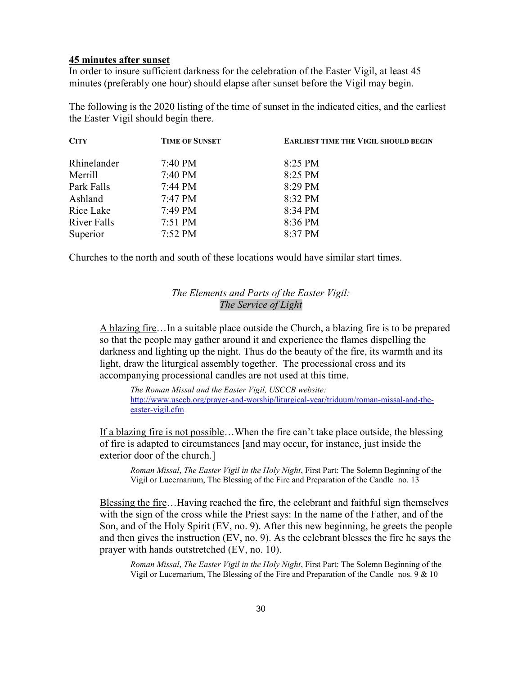#### **45 minutes after sunset**

In order to insure sufficient darkness for the celebration of the Easter Vigil, at least 45 minutes (preferably one hour) should elapse after sunset before the Vigil may begin.

The following is the 2020 listing of the time of sunset in the indicated cities, and the earliest the Easter Vigil should begin there.

| <b>CITY</b>        | <b>TIME OF SUNSET</b> | <b>EARLIEST TIME THE VIGIL SHOULD BEGIN</b> |
|--------------------|-----------------------|---------------------------------------------|
| Rhinelander        | $7:40 \text{ PM}$     | 8:25 PM                                     |
| Merrill            | $7:40 \text{ PM}$     | 8:25 PM                                     |
| Park Falls         | $7:44 \text{ PM}$     | 8:29 PM                                     |
| Ashland            | 7:47 PM               | 8:32 PM                                     |
| Rice Lake          | 7:49 PM               | 8:34 PM                                     |
| <b>River Falls</b> | $7:51 \text{ PM}$     | 8:36 PM                                     |
| Superior           | $7:52 \text{ PM}$     | 8:37 PM                                     |

Churches to the north and south of these locations would have similar start times.

#### *The Elements and Parts of the Easter Vigil: The Service of Light*

A blazing fire…In a suitable place outside the Church, a blazing fire is to be prepared so that the people may gather around it and experience the flames dispelling the darkness and lighting up the night. Thus do the beauty of the fire, its warmth and its light, draw the liturgical assembly together. The processional cross and its accompanying processional candles are not used at this time.

*The Roman Missal and the Easter Vigil, USCCB website:*  [http://www.usccb.org/prayer-and-worship/liturgical-year/triduum/roman-missal-and-the](http://www.usccb.org/prayer-and-worship/liturgical-year/triduum/roman-missal-and-the-easter-vigil.cfm)[easter-vigil.cfm](http://www.usccb.org/prayer-and-worship/liturgical-year/triduum/roman-missal-and-the-easter-vigil.cfm)

If a blazing fire is not possible…When the fire can't take place outside, the blessing of fire is adapted to circumstances [and may occur, for instance, just inside the exterior door of the church.]

*Roman Missal*, *The Easter Vigil in the Holy Night*, First Part: The Solemn Beginning of the Vigil or Lucernarium, The Blessing of the Fire and Preparation of the Candle no. 13

Blessing the fire…Having reached the fire, the celebrant and faithful sign themselves with the sign of the cross while the Priest says: In the name of the Father, and of the Son, and of the Holy Spirit (EV, no. 9). After this new beginning, he greets the people and then gives the instruction (EV, no. 9). As the celebrant blesses the fire he says the prayer with hands outstretched (EV, no. 10).

*Roman Missal*, *The Easter Vigil in the Holy Night*, First Part: The Solemn Beginning of the Vigil or Lucernarium, The Blessing of the Fire and Preparation of the Candle nos. 9 & 10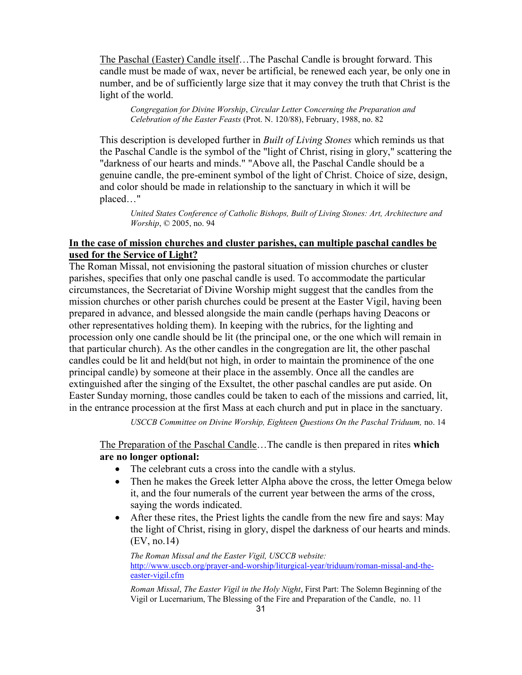The Paschal (Easter) Candle itself…The Paschal Candle is brought forward. This candle must be made of wax, never be artificial, be renewed each year, be only one in number, and be of sufficiently large size that it may convey the truth that Christ is the light of the world.

*Congregation for Divine Worship*, *Circular Letter Concerning the Preparation and Celebration of the Easter Feasts* (Prot. N. 120/88), February, 1988, no. 82

This description is developed further in *Built of Living Stones* which reminds us that the Paschal Candle is the symbol of the "light of Christ, rising in glory," scattering the "darkness of our hearts and minds." "Above all, the Paschal Candle should be a genuine candle, the pre-eminent symbol of the light of Christ. Choice of size, design, and color should be made in relationship to the sanctuary in which it will be placed…"

*United States Conference of Catholic Bishops, Built of Living Stones: Art, Architecture and Worship*, © 2005, no. 94

#### **In the case of mission churches and cluster parishes, can multiple paschal candles be used for the Service of Light?**

The Roman Missal, not envisioning the pastoral situation of mission churches or cluster parishes, specifies that only one paschal candle is used. To accommodate the particular circumstances, the Secretariat of Divine Worship might suggest that the candles from the mission churches or other parish churches could be present at the Easter Vigil, having been prepared in advance, and blessed alongside the main candle (perhaps having Deacons or other representatives holding them). In keeping with the rubrics, for the lighting and procession only one candle should be lit (the principal one, or the one which will remain in that particular church). As the other candles in the congregation are lit, the other paschal candles could be lit and held(but not high, in order to maintain the prominence of the one principal candle) by someone at their place in the assembly. Once all the candles are extinguished after the singing of the Exsultet, the other paschal candles are put aside. On Easter Sunday morning, those candles could be taken to each of the missions and carried, lit, in the entrance procession at the first Mass at each church and put in place in the sanctuary.

*USCCB Committee on Divine Worship, Eighteen Questions On the Paschal Triduum,* no. 14

The Preparation of the Paschal Candle…The candle is then prepared in rites **which are no longer optional:**

- The celebrant cuts a cross into the candle with a stylus.
- Then he makes the Greek letter Alpha above the cross, the letter Omega below it, and the four numerals of the current year between the arms of the cross, saying the words indicated.
- After these rites, the Priest lights the candle from the new fire and says: May the light of Christ, rising in glory, dispel the darkness of our hearts and minds. (EV, no.14)

*The Roman Missal and the Easter Vigil, USCCB website:*  [http://www.usccb.org/prayer-and-worship/liturgical-year/triduum/roman-missal-and-the](http://www.usccb.org/prayer-and-worship/liturgical-year/triduum/roman-missal-and-the-easter-vigil.cfm)[easter-vigil.cfm](http://www.usccb.org/prayer-and-worship/liturgical-year/triduum/roman-missal-and-the-easter-vigil.cfm)

*Roman Missal*, *The Easter Vigil in the Holy Night*, First Part: The Solemn Beginning of the Vigil or Lucernarium, The Blessing of the Fire and Preparation of the Candle, no. 11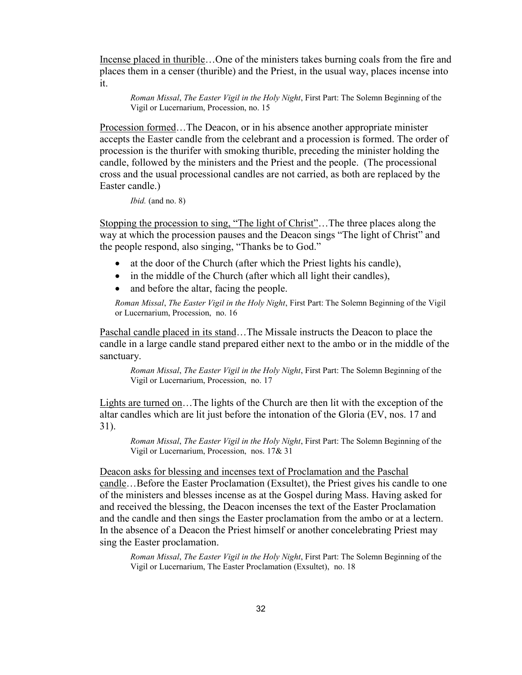Incense placed in thurible...One of the ministers takes burning coals from the fire and places them in a censer (thurible) and the Priest, in the usual way, places incense into it.

*Roman Missal*, *The Easter Vigil in the Holy Night*, First Part: The Solemn Beginning of the Vigil or Lucernarium, Procession, no. 15

Procession formed…The Deacon, or in his absence another appropriate minister accepts the Easter candle from the celebrant and a procession is formed. The order of procession is the thurifer with smoking thurible, preceding the minister holding the candle, followed by the ministers and the Priest and the people. (The processional cross and the usual processional candles are not carried, as both are replaced by the Easter candle.)

```
Ibid. (and no. 8)
```
Stopping the procession to sing, "The light of Christ"…The three places along the way at which the procession pauses and the Deacon sings "The light of Christ" and the people respond, also singing, "Thanks be to God."

- at the door of the Church (after which the Priest lights his candle),
- in the middle of the Church (after which all light their candles),
- and before the altar, facing the people.

*Roman Missal*, *The Easter Vigil in the Holy Night*, First Part: The Solemn Beginning of the Vigil or Lucernarium, Procession, no. 16

Paschal candle placed in its stand…The Missale instructs the Deacon to place the candle in a large candle stand prepared either next to the ambo or in the middle of the sanctuary.

*Roman Missal*, *The Easter Vigil in the Holy Night*, First Part: The Solemn Beginning of the Vigil or Lucernarium, Procession, no. 17

Lights are turned on…The lights of the Church are then lit with the exception of the altar candles which are lit just before the intonation of the Gloria (EV, nos. 17 and 31).

*Roman Missal*, *The Easter Vigil in the Holy Night*, First Part: The Solemn Beginning of the Vigil or Lucernarium, Procession, nos. 17& 31

Deacon asks for blessing and incenses text of Proclamation and the Paschal candle…Before the Easter Proclamation (Exsultet), the Priest gives his candle to one of the ministers and blesses incense as at the Gospel during Mass. Having asked for and received the blessing, the Deacon incenses the text of the Easter Proclamation and the candle and then sings the Easter proclamation from the ambo or at a lectern. In the absence of a Deacon the Priest himself or another concelebrating Priest may sing the Easter proclamation.

*Roman Missal*, *The Easter Vigil in the Holy Night*, First Part: The Solemn Beginning of the Vigil or Lucernarium, The Easter Proclamation (Exsultet), no. 18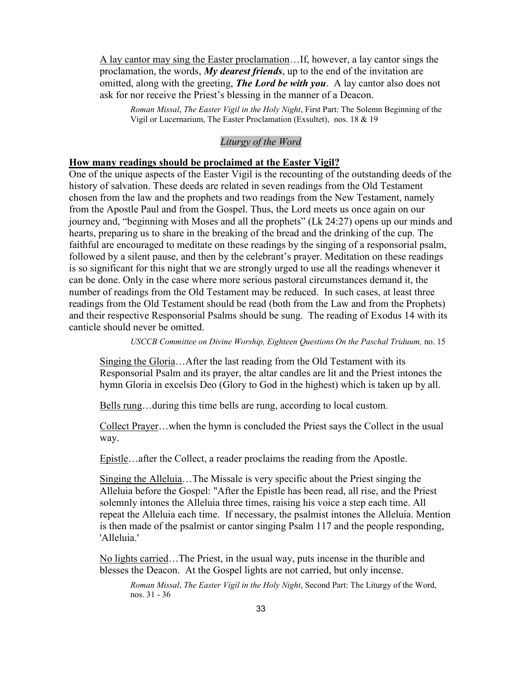A lay cantor may sing the Easter proclamation…If, however, a lay cantor sings the proclamation, the words, *My dearest friends*, up to the end of the invitation are omitted, along with the greeting, *The Lord be with you*. A lay cantor also does not ask for nor receive the Priest's blessing in the manner of a Deacon.

*Roman Missal*, *The Easter Vigil in the Holy Night*, First Part: The Solemn Beginning of the Vigil or Lucernarium, The Easter Proclamation (Exsultet), nos. 18 & 19

#### *Liturgy of the Word*

#### **How many readings should be proclaimed at the Easter Vigil?**

One of the unique aspects of the Easter Vigil is the recounting of the outstanding deeds of the history of salvation. These deeds are related in seven readings from the Old Testament chosen from the law and the prophets and two readings from the New Testament, namely from the Apostle Paul and from the Gospel. Thus, the Lord meets us once again on our journey and, "beginning with Moses and all the prophets" (Lk 24:27) opens up our minds and hearts, preparing us to share in the breaking of the bread and the drinking of the cup. The faithful are encouraged to meditate on these readings by the singing of a responsorial psalm, followed by a silent pause, and then by the celebrant's prayer. Meditation on these readings is so significant for this night that we are strongly urged to use all the readings whenever it can be done. Only in the case where more serious pastoral circumstances demand it, the number of readings from the Old Testament may be reduced. In such cases, at least three readings from the Old Testament should be read (both from the Law and from the Prophets) and their respective Responsorial Psalms should be sung. The reading of Exodus 14 with its canticle should never be omitted.

*USCCB Committee on Divine Worship, Eighteen Questions On the Paschal Triduum,* no. 15

Singing the Gloria…After the last reading from the Old Testament with its Responsorial Psalm and its prayer, the altar candles are lit and the Priest intones the hymn Gloria in excelsis Deo (Glory to God in the highest) which is taken up by all.

Bells rung…during this time bells are rung, according to local custom.

Collect Prayer…when the hymn is concluded the Priest says the Collect in the usual way.

Epistle…after the Collect, a reader proclaims the reading from the Apostle.

Singing the Alleluia…The Missale is very specific about the Priest singing the Alleluia before the Gospel: "After the Epistle has been read, all rise, and the Priest solemnly intones the Alleluia three times, raising his voice a step each time. All repeat the Alleluia each time. If necessary, the psalmist intones the Alleluia. Mention is then made of the psalmist or cantor singing Psalm 117 and the people responding, 'Alleluia.'

No lights carried…The Priest, in the usual way, puts incense in the thurible and blesses the Deacon. At the Gospel lights are not carried, but only incense.

*Roman Missal*, *The Easter Vigil in the Holy Night*, Second Part: The Liturgy of the Word, nos. 31 - 36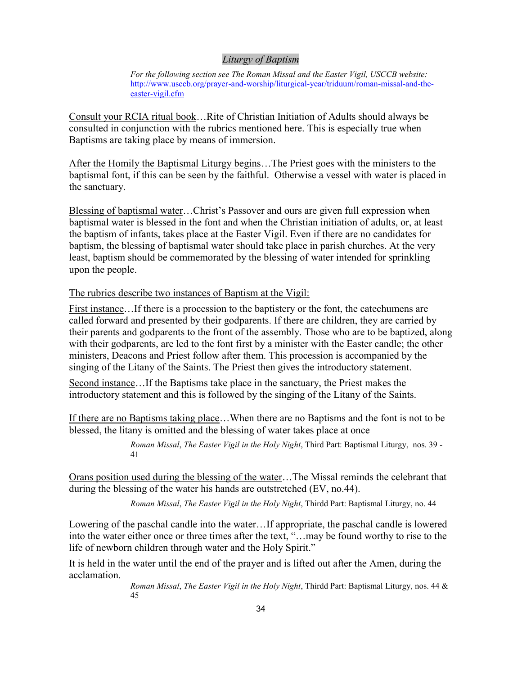#### *Liturgy of Baptism*

*For the following section see The Roman Missal and the Easter Vigil, USCCB website:*  [http://www.usccb.org/prayer-and-worship/liturgical-year/triduum/roman-missal-and-the](http://www.usccb.org/prayer-and-worship/liturgical-year/triduum/roman-missal-and-the-easter-vigil.cfm)[easter-vigil.cfm](http://www.usccb.org/prayer-and-worship/liturgical-year/triduum/roman-missal-and-the-easter-vigil.cfm)

Consult your RCIA ritual book…Rite of Christian Initiation of Adults should always be consulted in conjunction with the rubrics mentioned here. This is especially true when Baptisms are taking place by means of immersion.

After the Homily the Baptismal Liturgy begins…The Priest goes with the ministers to the baptismal font, if this can be seen by the faithful. Otherwise a vessel with water is placed in the sanctuary.

Blessing of baptismal water…Christ's Passover and ours are given full expression when baptismal water is blessed in the font and when the Christian initiation of adults, or, at least the baptism of infants, takes place at the Easter Vigil. Even if there are no candidates for baptism, the blessing of baptismal water should take place in parish churches. At the very least, baptism should be commemorated by the blessing of water intended for sprinkling upon the people.

The rubrics describe two instances of Baptism at the Vigil:

First instance…If there is a procession to the baptistery or the font, the catechumens are called forward and presented by their godparents. If there are children, they are carried by their parents and godparents to the front of the assembly. Those who are to be baptized, along with their godparents, are led to the font first by a minister with the Easter candle; the other ministers, Deacons and Priest follow after them. This procession is accompanied by the singing of the Litany of the Saints. The Priest then gives the introductory statement.

Second instance…If the Baptisms take place in the sanctuary, the Priest makes the introductory statement and this is followed by the singing of the Litany of the Saints.

If there are no Baptisms taking place…When there are no Baptisms and the font is not to be blessed, the litany is omitted and the blessing of water takes place at once

> *Roman Missal*, *The Easter Vigil in the Holy Night*, Third Part: Baptismal Liturgy, nos. 39 - 41

Orans position used during the blessing of the water…The Missal reminds the celebrant that during the blessing of the water his hands are outstretched (EV, no.44).

*Roman Missal*, *The Easter Vigil in the Holy Night*, Thirdd Part: Baptismal Liturgy, no. 44

Lowering of the paschal candle into the water…If appropriate, the paschal candle is lowered into the water either once or three times after the text, "…may be found worthy to rise to the life of newborn children through water and the Holy Spirit."

It is held in the water until the end of the prayer and is lifted out after the Amen, during the acclamation.

> *Roman Missal*, *The Easter Vigil in the Holy Night*, Thirdd Part: Baptismal Liturgy, nos. 44 & 45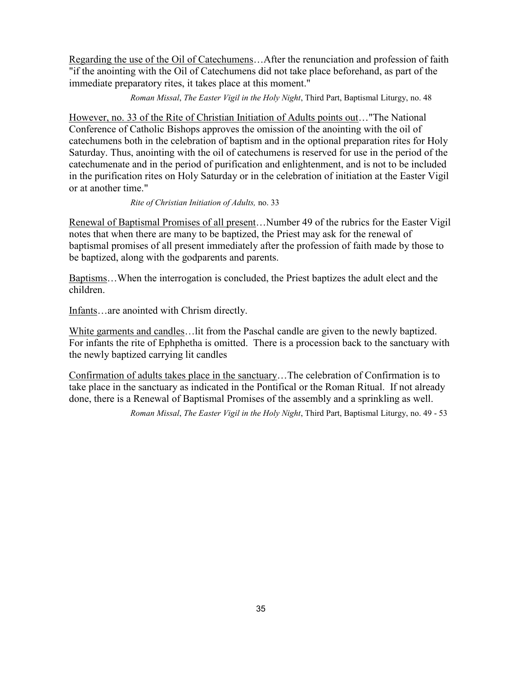Regarding the use of the Oil of Catechumens…After the renunciation and profession of faith "if the anointing with the Oil of Catechumens did not take place beforehand, as part of the immediate preparatory rites, it takes place at this moment."

*Roman Missal*, *The Easter Vigil in the Holy Night*, Third Part, Baptismal Liturgy, no. 48

However, no. 33 of the Rite of Christian Initiation of Adults points out…"The National Conference of Catholic Bishops approves the omission of the anointing with the oil of catechumens both in the celebration of baptism and in the optional preparation rites for Holy Saturday. Thus, anointing with the oil of catechumens is reserved for use in the period of the catechumenate and in the period of purification and enlightenment, and is not to be included in the purification rites on Holy Saturday or in the celebration of initiation at the Easter Vigil or at another time."

*Rite of Christian Initiation of Adults,* no. 33

Renewal of Baptismal Promises of all present…Number 49 of the rubrics for the Easter Vigil notes that when there are many to be baptized, the Priest may ask for the renewal of baptismal promises of all present immediately after the profession of faith made by those to be baptized, along with the godparents and parents.

Baptisms…When the interrogation is concluded, the Priest baptizes the adult elect and the children.

Infants…are anointed with Chrism directly.

White garments and candles…lit from the Paschal candle are given to the newly baptized. For infants the rite of Ephphetha is omitted. There is a procession back to the sanctuary with the newly baptized carrying lit candles

Confirmation of adults takes place in the sanctuary…The celebration of Confirmation is to take place in the sanctuary as indicated in the Pontifical or the Roman Ritual. If not already done, there is a Renewal of Baptismal Promises of the assembly and a sprinkling as well.

*Roman Missal*, *The Easter Vigil in the Holy Night*, Third Part, Baptismal Liturgy, no. 49 - 53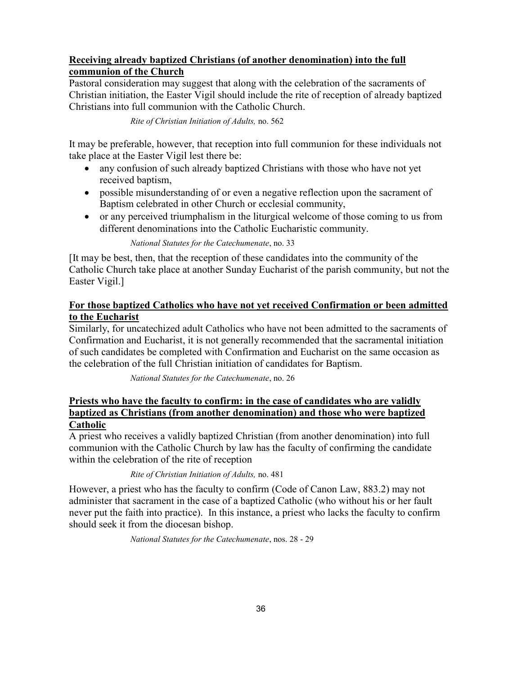#### **Receiving already baptized Christians (of another denomination) into the full communion of the Church**

Pastoral consideration may suggest that along with the celebration of the sacraments of Christian initiation, the Easter Vigil should include the rite of reception of already baptized Christians into full communion with the Catholic Church.

*Rite of Christian Initiation of Adults,* no. 562

It may be preferable, however, that reception into full communion for these individuals not take place at the Easter Vigil lest there be:

- any confusion of such already baptized Christians with those who have not yet received baptism,
- possible misunderstanding of or even a negative reflection upon the sacrament of Baptism celebrated in other Church or ecclesial community,
- or any perceived triumphalism in the liturgical welcome of those coming to us from different denominations into the Catholic Eucharistic community.

*National Statutes for the Catechumenate*, no. 33

[It may be best, then, that the reception of these candidates into the community of the Catholic Church take place at another Sunday Eucharist of the parish community, but not the Easter Vigil.]

#### **For those baptized Catholics who have not yet received Confirmation or been admitted to the Eucharist**

Similarly, for uncatechized adult Catholics who have not been admitted to the sacraments of Confirmation and Eucharist, it is not generally recommended that the sacramental initiation of such candidates be completed with Confirmation and Eucharist on the same occasion as the celebration of the full Christian initiation of candidates for Baptism.

*National Statutes for the Catechumenate*, no. 26

#### **Priests who have the faculty to confirm: in the case of candidates who are validly baptized as Christians (from another denomination) and those who were baptized Catholic**

A priest who receives a validly baptized Christian (from another denomination) into full communion with the Catholic Church by law has the faculty of confirming the candidate within the celebration of the rite of reception

#### *Rite of Christian Initiation of Adults,* no. 481

However, a priest who has the faculty to confirm (Code of Canon Law, 883.2) may not administer that sacrament in the case of a baptized Catholic (who without his or her fault never put the faith into practice). In this instance, a priest who lacks the faculty to confirm should seek it from the diocesan bishop.

*National Statutes for the Catechumenate*, nos. 28 - 29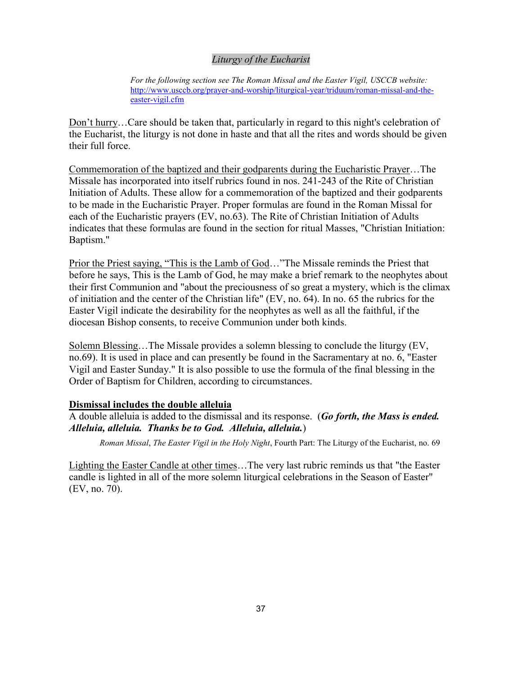#### *Liturgy of the Eucharist*

*For the following section see The Roman Missal and the Easter Vigil, USCCB website:*  [http://www.usccb.org/prayer-and-worship/liturgical-year/triduum/roman-missal-and-the](http://www.usccb.org/prayer-and-worship/liturgical-year/triduum/roman-missal-and-the-easter-vigil.cfm)[easter-vigil.cfm](http://www.usccb.org/prayer-and-worship/liturgical-year/triduum/roman-missal-and-the-easter-vigil.cfm)

Don't hurry…Care should be taken that, particularly in regard to this night's celebration of the Eucharist, the liturgy is not done in haste and that all the rites and words should be given their full force.

Commemoration of the baptized and their godparents during the Eucharistic Prayer…The Missale has incorporated into itself rubrics found in nos. 241-243 of the Rite of Christian Initiation of Adults. These allow for a commemoration of the baptized and their godparents to be made in the Eucharistic Prayer. Proper formulas are found in the Roman Missal for each of the Eucharistic prayers (EV, no.63). The Rite of Christian Initiation of Adults indicates that these formulas are found in the section for ritual Masses, "Christian Initiation: Baptism."

Prior the Priest saying, "This is the Lamb of God…"The Missale reminds the Priest that before he says, This is the Lamb of God, he may make a brief remark to the neophytes about their first Communion and "about the preciousness of so great a mystery, which is the climax of initiation and the center of the Christian life" (EV, no. 64). In no. 65 the rubrics for the Easter Vigil indicate the desirability for the neophytes as well as all the faithful, if the diocesan Bishop consents, to receive Communion under both kinds.

Solemn Blessing…The Missale provides a solemn blessing to conclude the liturgy (EV, no.69). It is used in place and can presently be found in the Sacramentary at no. 6, "Easter Vigil and Easter Sunday." It is also possible to use the formula of the final blessing in the Order of Baptism for Children, according to circumstances.

#### **Dismissal includes the double alleluia**

A double alleluia is added to the dismissal and its response. (*Go forth, the Mass is ended. Alleluia, alleluia. Thanks be to God. Alleluia, alleluia.*)

*Roman Missal*, *The Easter Vigil in the Holy Night*, Fourth Part: The Liturgy of the Eucharist, no. 69

Lighting the Easter Candle at other times…The very last rubric reminds us that "the Easter candle is lighted in all of the more solemn liturgical celebrations in the Season of Easter" (EV, no. 70).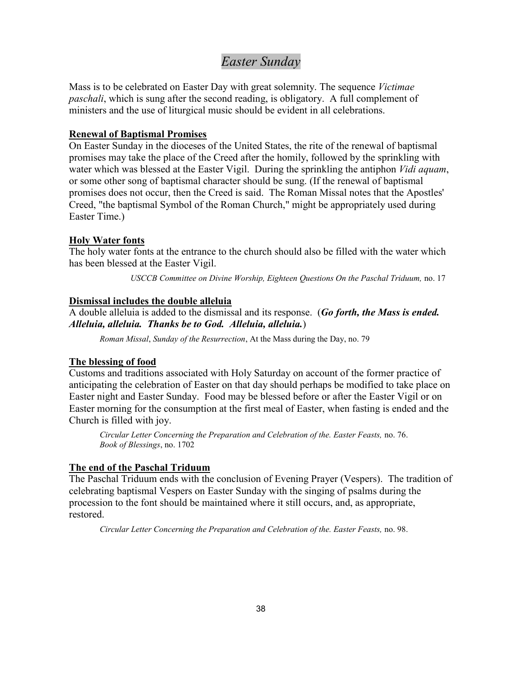### *Easter Sunday*

Mass is to be celebrated on Easter Day with great solemnity. The sequence *Victimae paschali*, which is sung after the second reading, is obligatory. A full complement of ministers and the use of liturgical music should be evident in all celebrations.

#### **Renewal of Baptismal Promises**

On Easter Sunday in the dioceses of the United States, the rite of the renewal of baptismal promises may take the place of the Creed after the homily, followed by the sprinkling with water which was blessed at the Easter Vigil. During the sprinkling the antiphon *Vidi aquam*, or some other song of baptismal character should be sung. (If the renewal of baptismal promises does not occur, then the Creed is said. The Roman Missal notes that the Apostles' Creed, "the baptismal Symbol of the Roman Church," might be appropriately used during Easter Time.)

#### **Holy Water fonts**

The holy water fonts at the entrance to the church should also be filled with the water which has been blessed at the Easter Vigil.

*USCCB Committee on Divine Worship, Eighteen Questions On the Paschal Triduum,* no. 17

#### **Dismissal includes the double alleluia**

A double alleluia is added to the dismissal and its response. (*Go forth, the Mass is ended. Alleluia, alleluia. Thanks be to God. Alleluia, alleluia.*)

*Roman Missal*, *Sunday of the Resurrection*, At the Mass during the Day, no. 79

#### **The blessing of food**

Customs and traditions associated with Holy Saturday on account of the former practice of anticipating the celebration of Easter on that day should perhaps be modified to take place on Easter night and Easter Sunday. Food may be blessed before or after the Easter Vigil or on Easter morning for the consumption at the first meal of Easter, when fasting is ended and the Church is filled with joy.

*Circular Letter Concerning the Preparation and Celebration of the. Easter Feasts,* no. 76. *Book of Blessings*, no. 1702

#### **The end of the Paschal Triduum**

The Paschal Triduum ends with the conclusion of Evening Prayer (Vespers). The tradition of celebrating baptismal Vespers on Easter Sunday with the singing of psalms during the procession to the font should be maintained where it still occurs, and, as appropriate, restored.

*Circular Letter Concerning the Preparation and Celebration of the. Easter Feasts,* no. 98.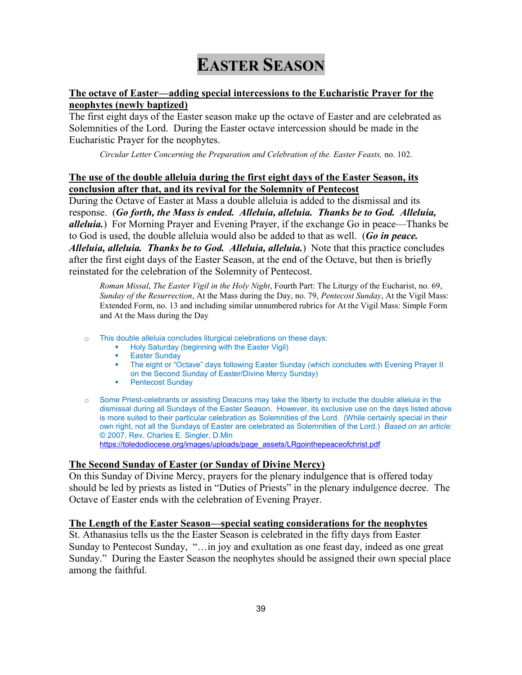## **EASTER SEASON**

#### **The octave of Easter—adding special intercessions to the Eucharistic Prayer for the neophytes (newly baptized)**

The first eight days of the Easter season make up the octave of Easter and are celebrated as Solemnities of the Lord. During the Easter octave intercession should be made in the Eucharistic Prayer for the neophytes.

*Circular Letter Concerning the Preparation and Celebration of the. Easter Feasts,* no. 102.

#### **The use of the double alleluia during the first eight days of the Easter Season, its conclusion after that, and its revival for the Solemnity of Pentecost**

During the Octave of Easter at Mass a double alleluia is added to the dismissal and its response. (*Go forth, the Mass is ended. Alleluia, alleluia. Thanks be to God. Alleluia, alleluia.*) For Morning Prayer and Evening Prayer, if the exchange Go in peace—Thanks be to God is used, the double alleluia would also be added to that as well. (*Go in peace. Alleluia, alleluia. Thanks be to God. Alleluia, alleluia.*) Note that this practice concludes after the first eight days of the Easter Season, at the end of the Octave, but then is briefly reinstated for the celebration of the Solemnity of Pentecost.

*Roman Missal*, *The Easter Vigil in the Holy Night*, Fourth Part: The Liturgy of the Eucharist, no. 69, *Sunday of the Resurrection*, At the Mass during the Day, no. 79, *Pentecost Sunday*, At the Vigil Mass: Extended Form, no. 13 and including similar unnumbered rubrics for At the Vigil Mass: Simple Form and At the Mass during the Day

- o This double alleluia concludes liturgical celebrations on these days:
	- **Holy Saturday (beginning with the Easter Vigil)** 
		- Easter Sunday
	- The eight or "Octave" days following Easter Sunday (which concludes with Evening Prayer II on the Second Sunday of Easter/Divine Mercy Sunday)
	- **•** Pentecost Sunday
- o Some Priest-celebrants or assisting Deacons may take the liberty to include the double alleluia in the dismissal during all Sundays of the Easter Season. However, its exclusive use on the days listed above is more suited to their particular celebration as Solemnities of the Lord. (While certainly special in their own right, not all the Sundays of Easter are celebrated as Solemnities of the Lord.) *Based on an article:* © 2007, Rev. Charles E. Singler, D.Min [https://toledodiocese.org/images/uploads/page\\_assets/LRgointhepeaceofchrist.pdf](https://toledodiocese.org/images/uploads/page_assets/LRgointhepeaceofchrist.pdf)

#### **The Second Sunday of Easter (or Sunday of Divine Mercy)**

On this Sunday of Divine Mercy, prayers for the plenary indulgence that is offered today should be led by priests as listed in "Duties of Priests" in the plenary indulgence decree. The Octave of Easter ends with the celebration of Evening Prayer.

#### **The Length of the Easter Season—special seating considerations for the neophytes**

St. Athanasius tells us the the Easter Season is celebrated in the fifty days from Easter Sunday to Pentecost Sunday, "…in joy and exultation as one feast day, indeed as one great Sunday." During the Easter Season the neophytes should be assigned their own special place among the faithful.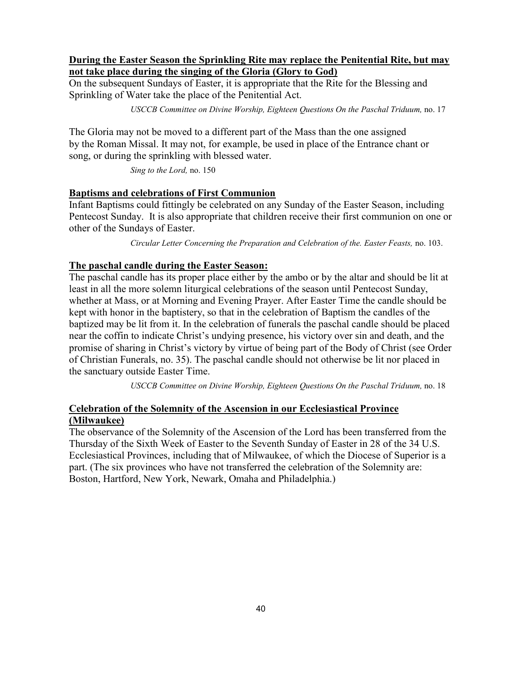#### **During the Easter Season the Sprinkling Rite may replace the Penitential Rite, but may not take place during the singing of the Gloria (Glory to God)**

On the subsequent Sundays of Easter, it is appropriate that the Rite for the Blessing and Sprinkling of Water take the place of the Penitential Act.

*USCCB Committee on Divine Worship, Eighteen Questions On the Paschal Triduum,* no. 17

The Gloria may not be moved to a different part of the Mass than the one assigned by the Roman Missal. It may not, for example, be used in place of the Entrance chant or song, or during the sprinkling with blessed water.

*Sing to the Lord,* no. 150

#### **Baptisms and celebrations of First Communion**

Infant Baptisms could fittingly be celebrated on any Sunday of the Easter Season, including Pentecost Sunday. It is also appropriate that children receive their first communion on one or other of the Sundays of Easter.

*Circular Letter Concerning the Preparation and Celebration of the. Easter Feasts,* no. 103.

#### **The paschal candle during the Easter Season:**

The paschal candle has its proper place either by the ambo or by the altar and should be lit at least in all the more solemn liturgical celebrations of the season until Pentecost Sunday, whether at Mass, or at Morning and Evening Prayer. After Easter Time the candle should be kept with honor in the baptistery, so that in the celebration of Baptism the candles of the baptized may be lit from it. In the celebration of funerals the paschal candle should be placed near the coffin to indicate Christ's undying presence, his victory over sin and death, and the promise of sharing in Christ's victory by virtue of being part of the Body of Christ (see Order of Christian Funerals, no. 35). The paschal candle should not otherwise be lit nor placed in the sanctuary outside Easter Time.

*USCCB Committee on Divine Worship, Eighteen Questions On the Paschal Triduum,* no. 18

#### **Celebration of the Solemnity of the Ascension in our Ecclesiastical Province (Milwaukee)**

The observance of the Solemnity of the Ascension of the Lord has been transferred from the Thursday of the Sixth Week of Easter to the Seventh Sunday of Easter in 28 of the 34 U.S. Ecclesiastical Provinces, including that of Milwaukee, of which the Diocese of Superior is a part. (The six provinces who have not transferred the celebration of the Solemnity are: Boston, Hartford, New York, Newark, Omaha and Philadelphia.)